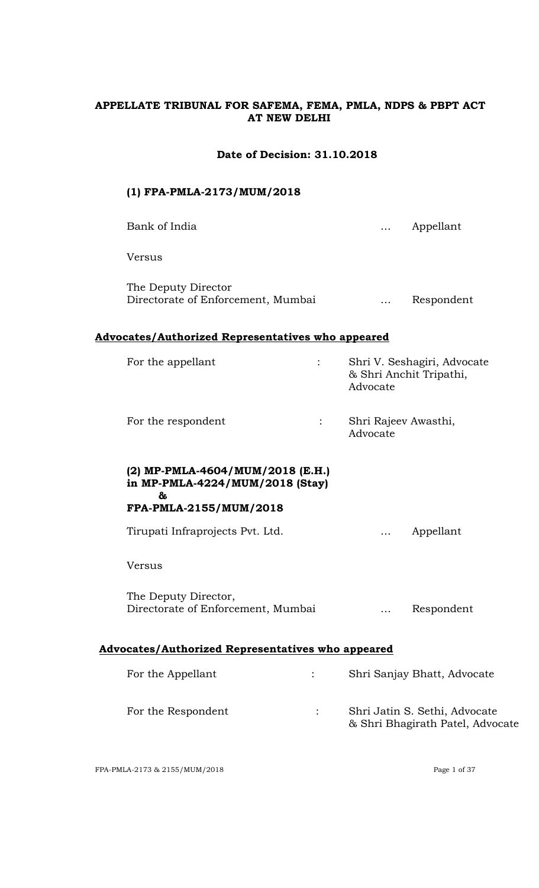## **APPELLATE TRIBUNAL FOR SAFEMA, FEMA, PMLA, NDPS & PBPT ACT AT NEW DELHI**

## **Date of Decision: 31.10.2018**

# **(1) FPA-PMLA-2173/MUM/2018** Bank of India **Example 2018** Manual Manual Manual Manual Manual Manual Manual Manual Manual Manual Manual Manual Ma Versus The Deputy Director Directorate of Enforcement, Mumbai … Respondent **Advocates/Authorized Representatives who appeared** For the appellant : Shri V. Seshagiri, Advocate & Shri Anchit Tripathi, Advocate For the respondent : Shri Rajeev Awasthi,

#### **(2) MP-PMLA-4604/MUM/2018 (E.H.) in MP-PMLA-4224/MUM/2018 (Stay) &**

# **FPA-PMLA-2155/MUM/2018**

Tirupati Infraprojects Pvt. Ltd. … Appellant

Advocate

## Versus

The Deputy Director, Directorate of Enforcement, Mumbai … Respondent

# **Advocates/Authorized Representatives who appeared**

| For the Appellant  | Shri Sanjay Bhatt, Advocate                                       |
|--------------------|-------------------------------------------------------------------|
| For the Respondent | Shri Jatin S. Sethi, Advocate<br>& Shri Bhagirath Patel, Advocate |

FPA-PMLA-2173 & 2155/MUM/2018 Page 1 of 37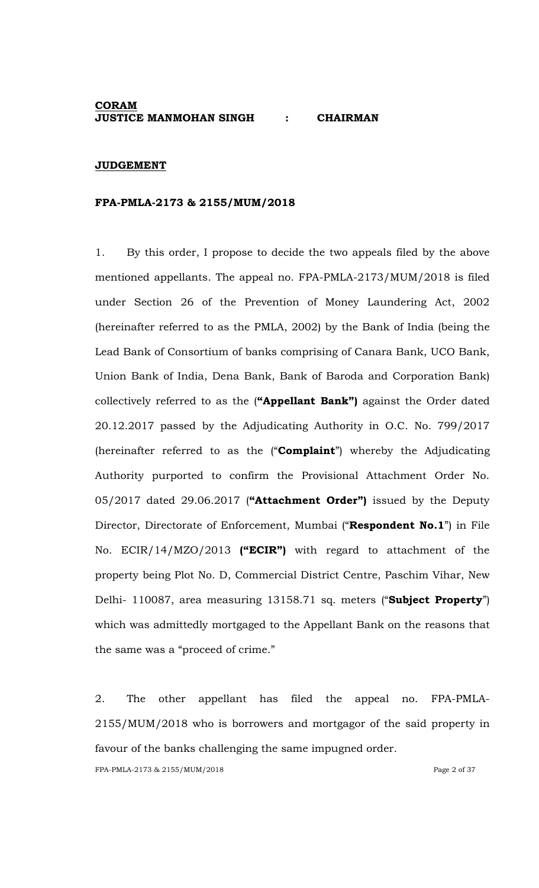### **CORAM JUSTICE MANMOHAN SINGH : CHAIRMAN**

#### **JUDGEMENT**

#### **FPA-PMLA-2173 & 2155/MUM/2018**

1. By this order, I propose to decide the two appeals filed by the above mentioned appellants. The appeal no. FPA-PMLA-2173/MUM/2018 is filed under Section 26 of the Prevention of Money Laundering Act, 2002 (hereinafter referred to as the PMLA, 2002) by the Bank of India (being the Lead Bank of Consortium of banks comprising of Canara Bank, UCO Bank, Union Bank of India, Dena Bank, Bank of Baroda and Corporation Bank) collectively referred to as the (**"Appellant Bank")** against the Order dated 20.12.2017 passed by the Adjudicating Authority in O.C. No. 799/2017 (hereinafter referred to as the ("**Complaint**") whereby the Adjudicating Authority purported to confirm the Provisional Attachment Order No. 05/2017 dated 29.06.2017 (**"Attachment Order")** issued by the Deputy Director, Directorate of Enforcement, Mumbai ("**Respondent No.1**") in File No. ECIR/14/MZO/2013 **("ECIR")** with regard to attachment of the property being Plot No. D, Commercial District Centre, Paschim Vihar, New Delhi- 110087, area measuring 13158.71 sq. meters ("**Subject Property**") which was admittedly mortgaged to the Appellant Bank on the reasons that the same was a "proceed of crime."

2. The other appellant has filed the appeal no. FPA-PMLA-2155/MUM/2018 who is borrowers and mortgagor of the said property in favour of the banks challenging the same impugned order.

FPA-PMLA-2173 & 2155/MUM/2018 Page 2 of 37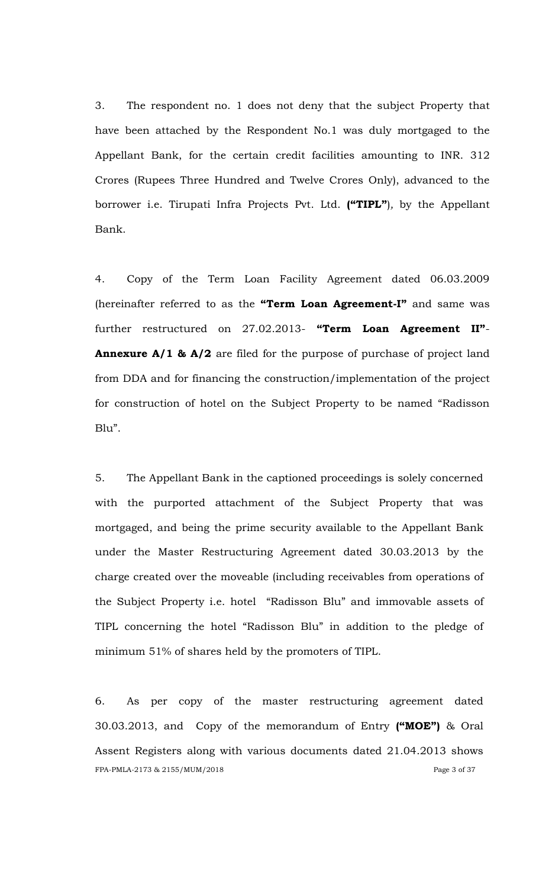3. The respondent no. 1 does not deny that the subject Property that have been attached by the Respondent No.1 was duly mortgaged to the Appellant Bank, for the certain credit facilities amounting to INR. 312 Crores (Rupees Three Hundred and Twelve Crores Only), advanced to the borrower i.e. Tirupati Infra Projects Pvt. Ltd. **("TIPL"**)*,* by the Appellant Bank.

4. Copy of the Term Loan Facility Agreement dated 06.03.2009 (hereinafter referred to as the **"Term Loan Agreement-I"** and same was further restructured on 27.02.2013- **"Term Loan Agreement II"**- **Annexure A/1 & A/2** are filed for the purpose of purchase of project land from DDA and for financing the construction/implementation of the project for construction of hotel on the Subject Property to be named "Radisson Blu".

5. The Appellant Bank in the captioned proceedings is solely concerned with the purported attachment of the Subject Property that was mortgaged, and being the prime security available to the Appellant Bank under the Master Restructuring Agreement dated 30.03.2013 by the charge created over the moveable (including receivables from operations of the Subject Property i.e. hotel "Radisson Blu" and immovable assets of TIPL concerning the hotel "Radisson Blu" in addition to the pledge of minimum 51% of shares held by the promoters of TIPL.

FPA-PMLA-2173 & 2155/MUM/2018 Page 3 of 37 6. As per copy of the master restructuring agreement dated 30.03.2013, and Copy of the memorandum of Entry **("MOE")** & Oral Assent Registers along with various documents dated 21.04.2013 shows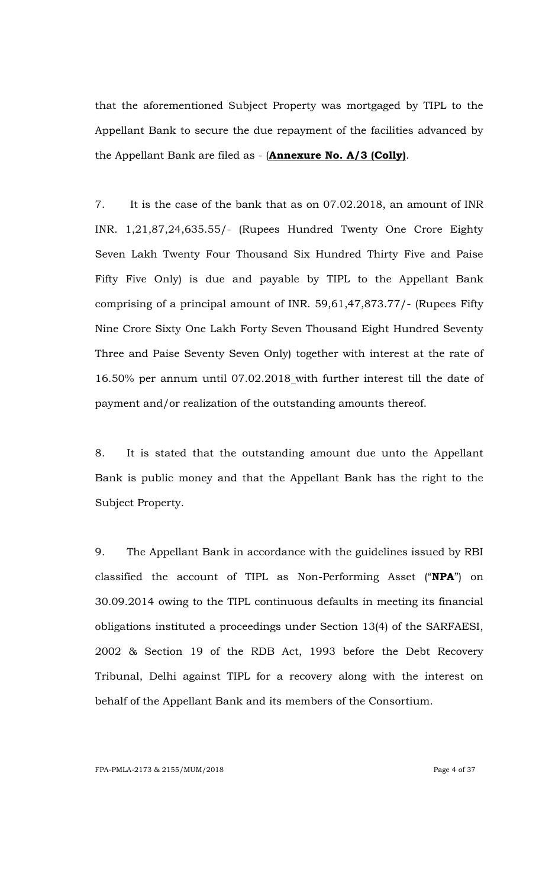that the aforementioned Subject Property was mortgaged by TIPL to the Appellant Bank to secure the due repayment of the facilities advanced by the Appellant Bank are filed as - (**Annexure No. A/3 (Colly)**.

7. It is the case of the bank that as on 07.02.2018, an amount of INR INR. 1,21,87,24,635.55/- (Rupees Hundred Twenty One Crore Eighty Seven Lakh Twenty Four Thousand Six Hundred Thirty Five and Paise Fifty Five Only) is due and payable by TIPL to the Appellant Bank comprising of a principal amount of INR. 59,61,47,873.77/- (Rupees Fifty Nine Crore Sixty One Lakh Forty Seven Thousand Eight Hundred Seventy Three and Paise Seventy Seven Only) together with interest at the rate of 16.50% per annum until 07.02.2018 with further interest till the date of payment and/or realization of the outstanding amounts thereof.

8. It is stated that the outstanding amount due unto the Appellant Bank is public money and that the Appellant Bank has the right to the Subject Property.

9. The Appellant Bank in accordance with the guidelines issued by RBI classified the account of TIPL as Non-Performing Asset ("**NPA**") on 30.09.2014 owing to the TIPL continuous defaults in meeting its financial obligations instituted a proceedings under Section 13(4) of the SARFAESI, 2002 & Section 19 of the RDB Act, 1993 before the Debt Recovery Tribunal, Delhi against TIPL for a recovery along with the interest on behalf of the Appellant Bank and its members of the Consortium.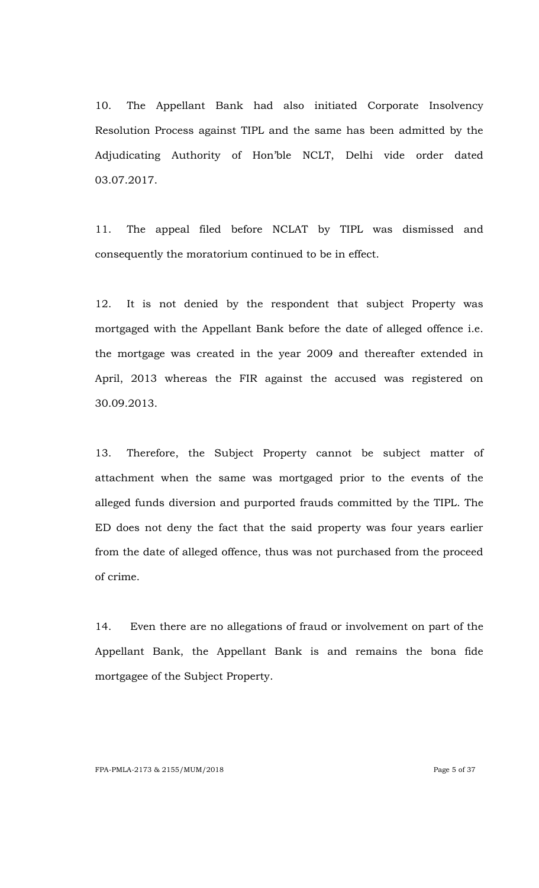10. The Appellant Bank had also initiated Corporate Insolvency Resolution Process against TIPL and the same has been admitted by the Adjudicating Authority of Hon"ble NCLT, Delhi vide order dated 03.07.2017.

11. The appeal filed before NCLAT by TIPL was dismissed and consequently the moratorium continued to be in effect.

12. It is not denied by the respondent that subject Property was mortgaged with the Appellant Bank before the date of alleged offence i.e. the mortgage was created in the year 2009 and thereafter extended in April, 2013 whereas the FIR against the accused was registered on 30.09.2013.

13. Therefore, the Subject Property cannot be subject matter of attachment when the same was mortgaged prior to the events of the alleged funds diversion and purported frauds committed by the TIPL. The ED does not deny the fact that the said property was four years earlier from the date of alleged offence, thus was not purchased from the proceed of crime.

14. Even there are no allegations of fraud or involvement on part of the Appellant Bank, the Appellant Bank is and remains the bona fide mortgagee of the Subject Property.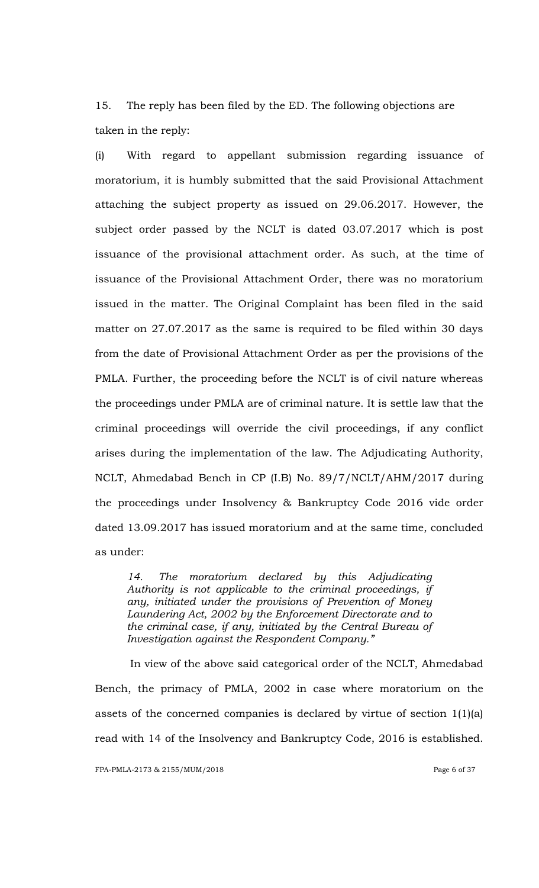15. The reply has been filed by the ED. The following objections are taken in the reply:

(i) With regard to appellant submission regarding issuance of moratorium, it is humbly submitted that the said Provisional Attachment attaching the subject property as issued on 29.06.2017. However, the subject order passed by the NCLT is dated 03.07.2017 which is post issuance of the provisional attachment order. As such, at the time of issuance of the Provisional Attachment Order, there was no moratorium issued in the matter. The Original Complaint has been filed in the said matter on 27.07.2017 as the same is required to be filed within 30 days from the date of Provisional Attachment Order as per the provisions of the PMLA. Further, the proceeding before the NCLT is of civil nature whereas the proceedings under PMLA are of criminal nature. It is settle law that the criminal proceedings will override the civil proceedings, if any conflict arises during the implementation of the law. The Adjudicating Authority, NCLT, Ahmedabad Bench in CP (I.B) No. 89/7/NCLT/AHM/2017 during the proceedings under Insolvency & Bankruptcy Code 2016 vide order dated 13.09.2017 has issued moratorium and at the same time, concluded as under:

*14. The moratorium declared by this Adjudicating Authority is not applicable to the criminal proceedings, if any, initiated under the provisions of Prevention of Money Laundering Act, 2002 by the Enforcement Directorate and to the criminal case, if any, initiated by the Central Bureau of Investigation against the Respondent Company.‖*

In view of the above said categorical order of the NCLT, Ahmedabad Bench, the primacy of PMLA, 2002 in case where moratorium on the assets of the concerned companies is declared by virtue of section 1(1)(a) read with 14 of the Insolvency and Bankruptcy Code, 2016 is established.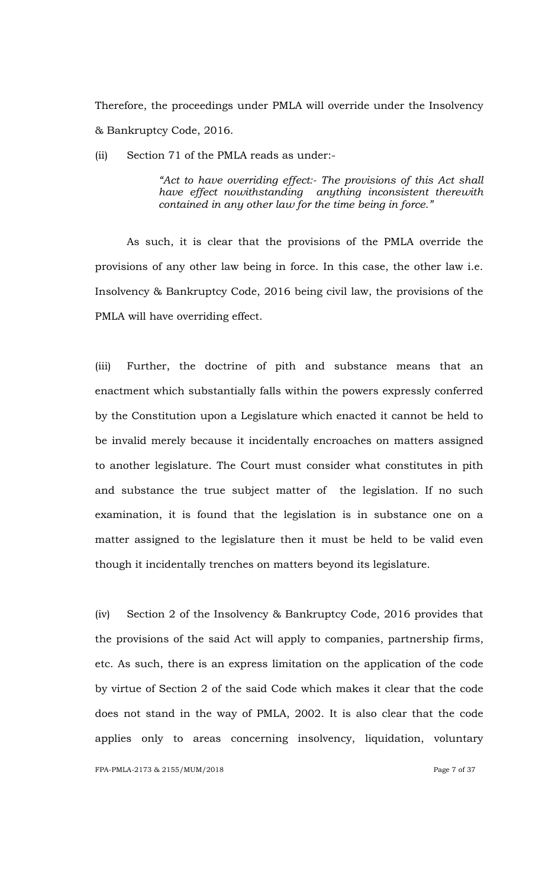Therefore, the proceedings under PMLA will override under the Insolvency & Bankruptcy Code, 2016.

(ii) Section 71 of the PMLA reads as under:-

*―Act to have overriding effect:- The provisions of this Act shall have effect nowithstanding anything inconsistent therewith contained in any other law for the time being in force.‖*

As such, it is clear that the provisions of the PMLA override the provisions of any other law being in force. In this case, the other law i.e. Insolvency & Bankruptcy Code, 2016 being civil law, the provisions of the PMLA will have overriding effect.

(iii) Further, the doctrine of pith and substance means that an enactment which substantially falls within the powers expressly conferred by the Constitution upon a Legislature which enacted it cannot be held to be invalid merely because it incidentally encroaches on matters assigned to another legislature. The Court must consider what constitutes in pith and substance the true subject matter of the legislation. If no such examination, it is found that the legislation is in substance one on a matter assigned to the legislature then it must be held to be valid even though it incidentally trenches on matters beyond its legislature.

(iv) Section 2 of the Insolvency & Bankruptcy Code, 2016 provides that the provisions of the said Act will apply to companies, partnership firms, etc. As such, there is an express limitation on the application of the code by virtue of Section 2 of the said Code which makes it clear that the code does not stand in the way of PMLA, 2002. It is also clear that the code applies only to areas concerning insolvency, liquidation, voluntary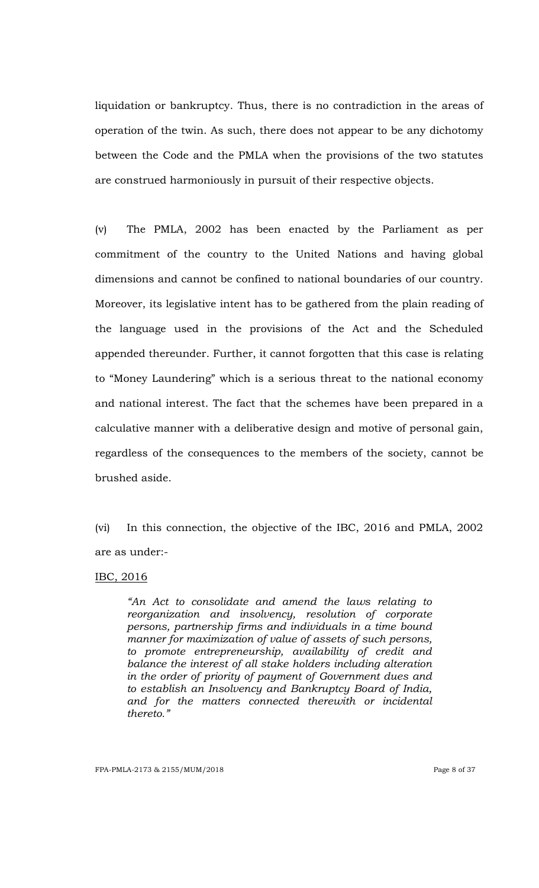liquidation or bankruptcy. Thus, there is no contradiction in the areas of operation of the twin. As such, there does not appear to be any dichotomy between the Code and the PMLA when the provisions of the two statutes are construed harmoniously in pursuit of their respective objects.

(v) The PMLA, 2002 has been enacted by the Parliament as per commitment of the country to the United Nations and having global dimensions and cannot be confined to national boundaries of our country. Moreover, its legislative intent has to be gathered from the plain reading of the language used in the provisions of the Act and the Scheduled appended thereunder. Further, it cannot forgotten that this case is relating to "Money Laundering" which is a serious threat to the national economy and national interest. The fact that the schemes have been prepared in a calculative manner with a deliberative design and motive of personal gain, regardless of the consequences to the members of the society, cannot be brushed aside.

(vi) In this connection, the objective of the IBC, 2016 and PMLA, 2002 are as under:-

## IBC, 2016

*―An Act to consolidate and amend the laws relating to reorganization and insolvency, resolution of corporate persons, partnership firms and individuals in a time bound manner for maximization of value of assets of such persons, to promote entrepreneurship, availability of credit and balance the interest of all stake holders including alteration in the order of priority of payment of Government dues and to establish an Insolvency and Bankruptcy Board of India, and for the matters connected therewith or incidental thereto.‖*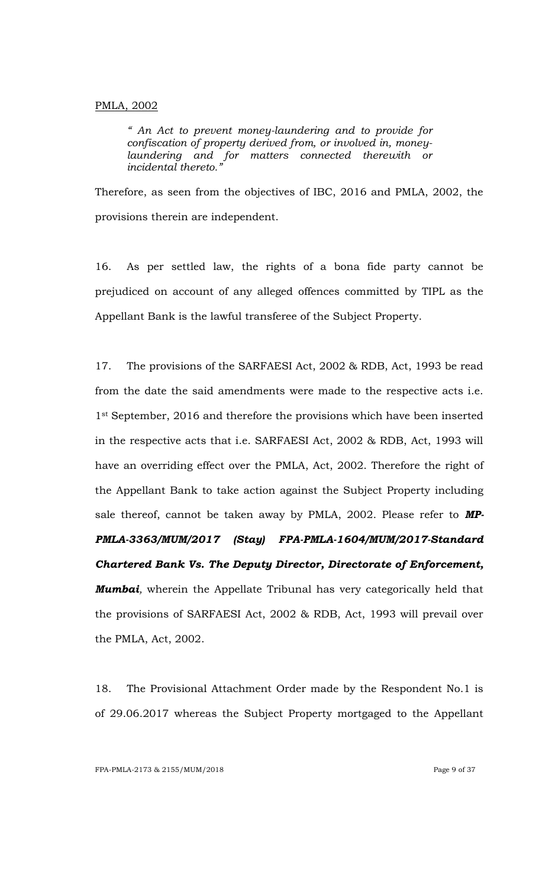#### PMLA, 2002

*― An Act to prevent money-laundering and to provide for confiscation of property derived from, or involved in, moneylaundering and for matters connected therewith or incidental thereto.‖*

Therefore, as seen from the objectives of IBC, 2016 and PMLA, 2002, the provisions therein are independent.

16. As per settled law, the rights of a bona fide party cannot be prejudiced on account of any alleged offences committed by TIPL as the Appellant Bank is the lawful transferee of the Subject Property.

17. The provisions of the SARFAESI Act, 2002 & RDB, Act, 1993 be read from the date the said amendments were made to the respective acts i.e. 1<sup>st</sup> September, 2016 and therefore the provisions which have been inserted in the respective acts that i.e. SARFAESI Act, 2002 & RDB, Act, 1993 will have an overriding effect over the PMLA, Act, 2002. Therefore the right of the Appellant Bank to take action against the Subject Property including sale thereof, cannot be taken away by PMLA, 2002. Please refer to *MP-PMLA-3363/MUM/2017 (Stay) FPA-PMLA-1604/MUM/2017-Standard Chartered Bank Vs. The Deputy Director, Directorate of Enforcement, Mumbai,* wherein the Appellate Tribunal has very categorically held that the provisions of SARFAESI Act, 2002 & RDB, Act, 1993 will prevail over the PMLA, Act, 2002.

18. The Provisional Attachment Order made by the Respondent No.1 is of 29.06.2017 whereas the Subject Property mortgaged to the Appellant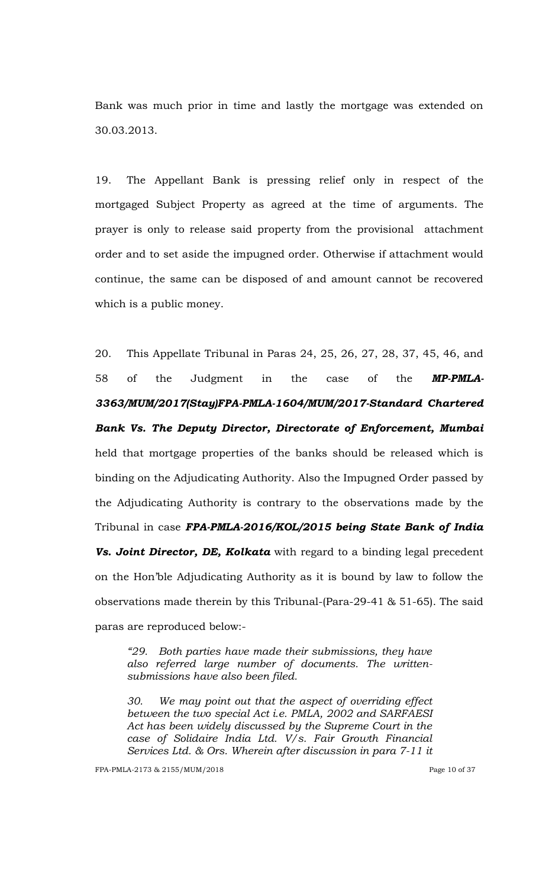Bank was much prior in time and lastly the mortgage was extended on 30.03.2013.

19. The Appellant Bank is pressing relief only in respect of the mortgaged Subject Property as agreed at the time of arguments. The prayer is only to release said property from the provisional attachment order and to set aside the impugned order. Otherwise if attachment would continue, the same can be disposed of and amount cannot be recovered which is a public money.

20. This Appellate Tribunal in Paras 24, 25, 26, 27, 28, 37, 45, 46, and 58 of the Judgment in the case of the *MP-PMLA-3363/MUM/2017(Stay)FPA-PMLA-1604/MUM/2017-Standard Chartered Bank Vs. The Deputy Director, Directorate of Enforcement, Mumbai* held that mortgage properties of the banks should be released which is binding on the Adjudicating Authority. Also the Impugned Order passed by the Adjudicating Authority is contrary to the observations made by the Tribunal in case *FPA-PMLA-2016/KOL/2015 being State Bank of India Vs. Joint Director, DE, Kolkata* with regard to a binding legal precedent on the Hon"ble Adjudicating Authority as it is bound by law to follow the observations made therein by this Tribunal-(Para-29-41 & 51-65). The said paras are reproduced below:-

*―29. Both parties have made their submissions, they have also referred large number of documents. The writtensubmissions have also been filed.* 

*30. We may point out that the aspect of overriding effect between the two special Act i.e. PMLA, 2002 and SARFAESI Act has been widely discussed by the Supreme Court in the case of Solidaire India Ltd. V/s. Fair Growth Financial Services Ltd. & Ors. Wherein after discussion in para 7-11 it*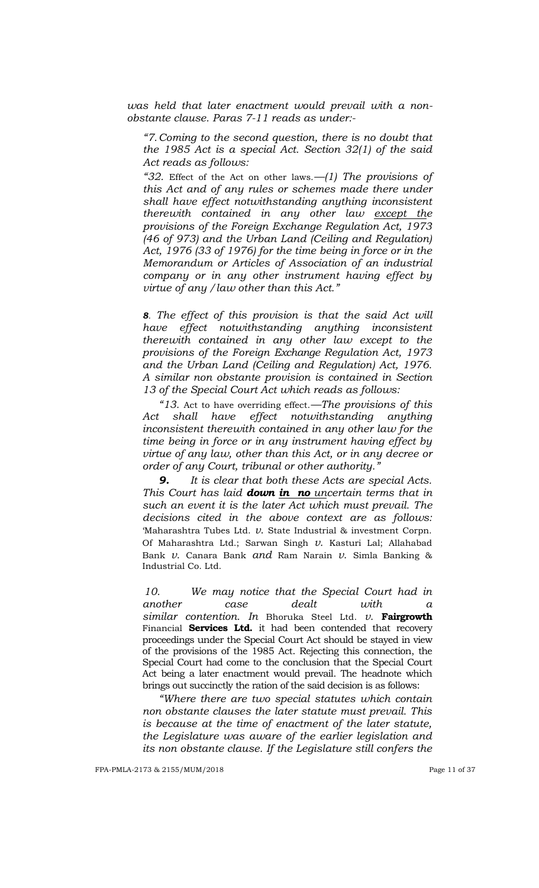*was held that later enactment would prevail with a nonobstante clause. Paras 7-11 reads as under:-*

*―7.Coming to the second question, there is no doubt that the 1985 Act is a special Act. Section 32(1) of the said Act reads as follows:*

*―32.* Effect of the Act on other laws.*—(1) The provisions of this Act and of any rules or schemes made there under shall have effect notwithstanding anything inconsistent therewith contained in any other law except the provisions of the Foreign Exchange Regulation Act, 1973 (46 of 973) and the Urban Land (Ceiling and Regulation) Act, 1976 (33 of 1976) for the time being in force or in the Memorandum or Articles of Association of an industrial company or in any other instrument having effect by virtue of any /law other than this Act.‖*

*8. The effect of this provision is that the said Act will have effect notwithstanding anything inconsistent therewith contained in any other law except to the provisions of the Foreign Exchange Regulation Act, 1973 and the Urban Land (Ceiling and Regulation) Act, 1976. A similar non obstante provision is contained in Section 13 of the Special Court Act which reads as follows:*

*―13.* Act to have overriding effect.*—The provisions of this Act shall have effect notwithstanding anything inconsistent therewith contained in any other law for the time being in force or in any instrument having effect by virtue of any law, other than this Act, or in any decree or order of any Court, tribunal or other authority.‖*

*9. It is clear that both these Acts are special Acts. This Court has laid down in no uncertain terms that in such an event it is the later Act which must prevail. The decisions cited in the above context are as follows:* "Maharashtra Tubes Ltd. *v.* State Industrial & investment Corpn. Of Maharashtra Ltd.; Sarwan Singh *v.* Kasturi Lal; Allahabad Bank *v.* Canara Bank *and* Ram Narain *v.* Simla Banking & Industrial Co. Ltd.

*10. We may notice that the Special Court had in another case dealt with a similar contention. In* Bhoruka Steel Ltd. *v.* **Fairgrowth**  Financial **Services Ltd.** it had been contended that recovery proceedings under the Special Court Act should be stayed in view of the provisions of the 1985 Act. Rejecting this connection, the Special Court had come to the conclusion that the Special Court Act being a later enactment would prevail. The headnote which brings out succinctly the ration of the said decision is as follows:

*―Where there are two special statutes which contain non obstante clauses the later statute must prevail. This is because at the time of enactment of the later statute, the Legislature was aware of the earlier legislation and its non obstante clause. If the Legislature still confers the*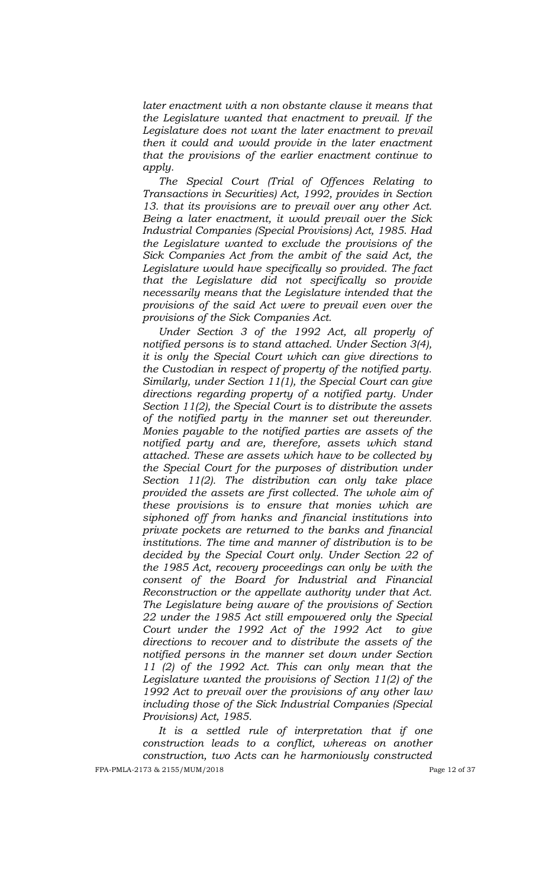*later enactment with a non obstante clause it means that the Legislature wanted that enactment to prevail. If the Legislature does not want the later enactment to prevail then it could and would provide in the later enactment that the provisions of the earlier enactment continue to apply.*

*The Special Court (Trial of Offences Relating to Transactions in Securities) Act, 1992, provides in Section 13. that its provisions are to prevail over any other Act. Being a later enactment, it would prevail over the Sick Industrial Companies (Special Provisions) Act, 1985. Had the Legislature wanted to exclude the provisions of the Sick Companies Act from the ambit of the said Act, the Legislature would have specifically so provided. The fact that the Legislature did not specifically so provide necessarily means that the Legislature intended that the provisions of the said Act were to prevail even over the provisions of the Sick Companies Act.*

*Under Section 3 of the 1992 Act, all properly of notified persons is to stand attached. Under Section 3(4), it is only the Special Court which can give directions to the Custodian in respect of property of the notified party. Similarly, under Section 11(1), the Special Court can give directions regarding property of a notified party. Under Section 11(2), the Special Court is to distribute the assets of the notified party in the manner set out thereunder. Monies payable to the notified parties are assets of the notified party and are, therefore, assets which stand attached. These are assets which have to be collected by the Special Court for the purposes of distribution under Section 11(2). The distribution can only take place provided the assets are first collected. The whole aim of these provisions is to ensure that monies which are siphoned off from hanks and financial institutions into private pockets are returned to the banks and financial institutions. The time and manner of distribution is to be decided by the Special Court only. Under Section 22 of the 1985 Act, recovery proceedings can only be with the consent of the Board for Industrial and Financial Reconstruction or the appellate authority under that Act. The Legislature being aware of the provisions of Section 22 under the 1985 Act still empowered only the Special Court under the 1992 Act of the 1992 Act to give directions to recover and to distribute the assets of the notified persons in the manner set down under Section 11 (2) of the 1992 Act. This can only mean that the Legislature wanted the provisions of Section 11(2) of the 1992 Act to prevail over the provisions of any other law including those of the Sick Industrial Companies (Special Provisions) Act, 1985.*

FPA-PMLA-2173 & 2155/MUM/2018 Page 12 of 37 *It is a settled rule of interpretation that if one construction leads to a conflict, whereas on another construction, two Acts can he harmoniously constructed*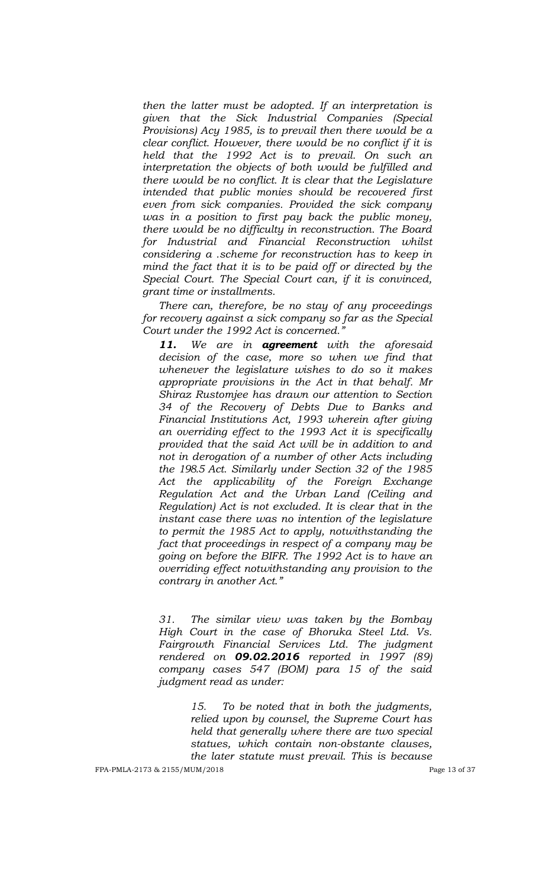*then the latter must be adopted. If an interpretation is given that the Sick Industrial Companies (Special Provisions) Acy 1985, is to prevail then there would be a clear conflict. However, there would be no conflict if it is held that the 1992 Act is to prevail. On such an interpretation the objects of both would be fulfilled and there would be no conflict. It is clear that the Legislature intended that public monies should be recovered first even from sick companies. Provided the sick company was in a position to first pay back the public money, there would be no difficulty in reconstruction. The Board for Industrial and Financial Reconstruction whilst considering a .scheme for reconstruction has to keep in mind the fact that it is to be paid off or directed by the Special Court. The Special Court can, if it is convinced, grant time or installments.*

*There can, therefore, be no stay of any proceedings for recovery against a sick company so far as the Special Court under the 1992 Act is concerned.‖*

*11. We are in agreement with the aforesaid decision of the case, more so when we find that whenever the legislature wishes to do so it makes appropriate provisions in the Act in that behalf. Mr Shiraz Rustomjee has drawn our attention to Section 34 of the Recovery of Debts Due to Banks and Financial Institutions Act, 1993 wherein after giving an overriding effect to the 1993 Act it is specifically provided that the said Act will be in addition to and not in derogation of a number of other Acts including the 198.5 Act. Similarly under Section 32 of the 1985 Act the applicability of the Foreign Exchange Regulation Act and the Urban Land (Ceiling and Regulation) Act is not excluded. It is clear that in the instant case there was no intention of the legislature to permit the 1985 Act to apply, notwithstanding the fact that proceedings in respect of a company may be going on before the BIFR. The 1992 Act is to have an overriding effect notwithstanding any provision to the contrary in another Act.‖*

*31. The similar view was taken by the Bombay High Court in the case of Bhoruka Steel Ltd. Vs. Fairgrowth Financial Services Ltd. The judgment rendered on 09.02.2016 reported in 1997 (89) company cases 547 (BOM) para 15 of the said judgment read as under:* 

> *15. To be noted that in both the judgments, relied upon by counsel, the Supreme Court has held that generally where there are two special statues, which contain non-obstante clauses, the later statute must prevail. This is because*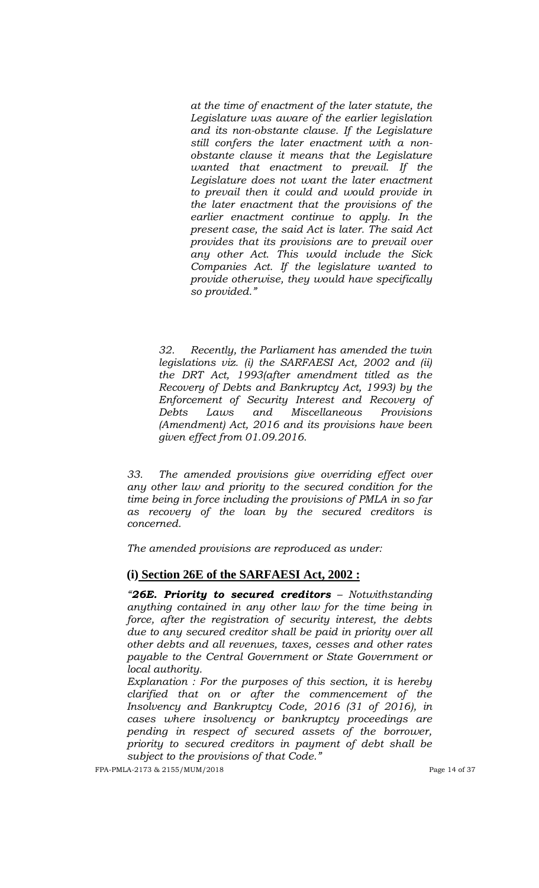*at the time of enactment of the later statute, the Legislature was aware of the earlier legislation and its non-obstante clause. If the Legislature still confers the later enactment with a nonobstante clause it means that the Legislature wanted that enactment to prevail. If the Legislature does not want the later enactment to prevail then it could and would provide in the later enactment that the provisions of the earlier enactment continue to apply. In the present case, the said Act is later. The said Act provides that its provisions are to prevail over any other Act. This would include the Sick Companies Act. If the legislature wanted to provide otherwise, they would have specifically so provided.‖*

*32. Recently, the Parliament has amended the twin legislations viz. (i) the SARFAESI Act, 2002 and (ii) the DRT Act, 1993(after amendment titled as the Recovery of Debts and Bankruptcy Act, 1993) by the Enforcement of Security Interest and Recovery of Debts Laws and Miscellaneous Provisions (Amendment) Act, 2016 and its provisions have been given effect from 01.09.2016.* 

*33. The amended provisions give overriding effect over any other law and priority to the secured condition for the time being in force including the provisions of PMLA in so far as recovery of the loan by the secured creditors is concerned.* 

*The amended provisions are reproduced as under:*

## **(i) Section 26E of the SARFAESI Act, 2002 :**

*―26E. Priority to secured creditors – Notwithstanding anything contained in any other law for the time being in force, after the registration of security interest, the debts due to any secured creditor shall be paid in priority over all other debts and all revenues, taxes, cesses and other rates payable to the Central Government or State Government or local authority.*

*Explanation : For the purposes of this section, it is hereby clarified that on or after the commencement of the Insolvency and Bankruptcy Code, 2016 (31 of 2016), in cases where insolvency or bankruptcy proceedings are pending in respect of secured assets of the borrower, priority to secured creditors in payment of debt shall be subject to the provisions of that Code.‖* 

FPA-PMLA-2173 & 2155/MUM/2018 Page 14 of 37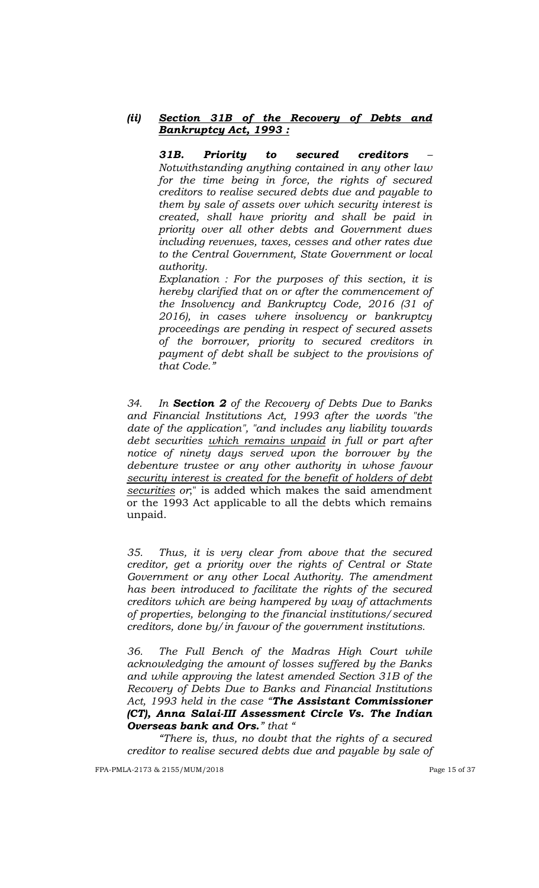## *(ii) Section 31B of the Recovery of Debts and Bankruptcy Act, 1993 :*

*31B. Priority to secured creditors – Notwithstanding anything contained in any other law for the time being in force, the rights of secured creditors to realise secured debts due and payable to them by sale of assets over which security interest is created, shall have priority and shall be paid in priority over all other debts and Government dues including revenues, taxes, cesses and other rates due to the Central Government, State Government or local authority.*

*Explanation : For the purposes of this section, it is hereby clarified that on or after the commencement of the Insolvency and Bankruptcy Code, 2016 (31 of 2016), in cases where insolvency or bankruptcy proceedings are pending in respect of secured assets of the borrower, priority to secured creditors in payment of debt shall be subject to the provisions of*  that Code.'

*34. In Section 2 of the Recovery of Debts Due to Banks and Financial Institutions Act, 1993 after the words "the date of the application", "and includes any liability towards debt securities which remains unpaid in full or part after notice of ninety days served upon the borrower by the debenture trustee or any other authority in whose favour security interest is created for the benefit of holders of debt securities or*;" is added which makes the said amendment or the 1993 Act applicable to all the debts which remains unpaid.

*35. Thus, it is very clear from above that the secured creditor, get a priority over the rights of Central or State Government or any other Local Authority. The amendment has been introduced to facilitate the rights of the secured creditors which are being hampered by way of attachments of properties, belonging to the financial institutions/secured creditors, done by/in favour of the government institutions.*

*36. The Full Bench of the Madras High Court while acknowledging the amount of losses suffered by the Banks and while approving the latest amended Section 31B of the Recovery of Debts Due to Banks and Financial Institutions Act, 1993 held in the case ―The Assistant Commissioner (CT), Anna Salai-III Assessment Circle Vs. The Indian*  **Overseas bank and Ors.**" that "

*―There is, thus, no doubt that the rights of a secured creditor to realise secured debts due and payable by sale of* 

FPA-PMLA-2173 & 2155/MUM/2018 Page 15 of 37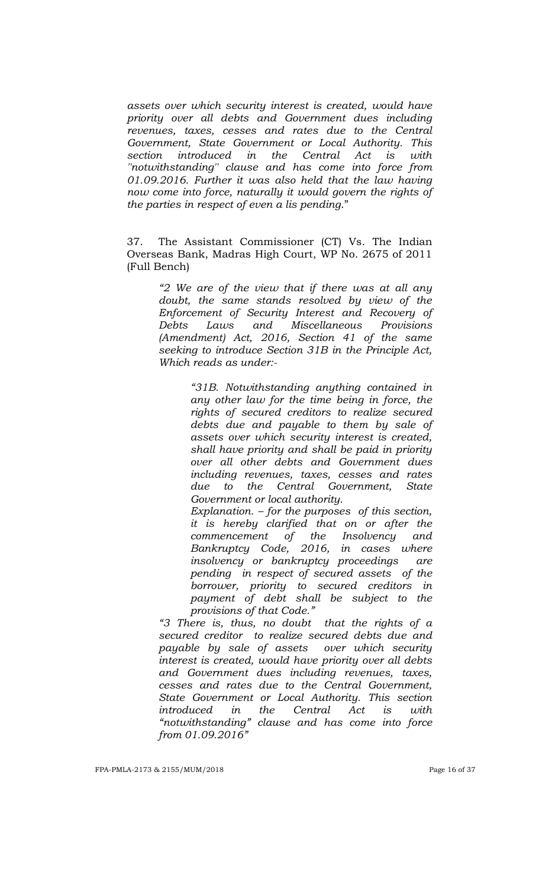*assets over which security interest is created, would have priority over all debts and Government dues including revenues, taxes, cesses and rates due to the Central Government, State Government or Local Authority. This section introduced in the Central Act is with ''notwithstanding'' clause and has come into force from 01.09.2016. Further it was also held that the law having now come into force, naturally it would govern the rights of the parties in respect of even a lis pending*."

37. The Assistant Commissioner (CT) Vs. The Indian Overseas Bank, Madras High Court, WP No. 2675 of 2011 (Full Bench)

> *―2 We are of the view that if there was at all any doubt, the same stands resolved by view of the Enforcement of Security Interest and Recovery of Debts Laws and Miscellaneous Provisions (Amendment) Act, 2016, Section 41 of the same seeking to introduce Section 31B in the Principle Act, Which reads as under:-*

> > *―31B. Notwithstanding anything contained in any other law for the time being in force, the rights of secured creditors to realize secured debts due and payable to them by sale of assets over which security interest is created, shall have priority and shall be paid in priority over all other debts and Government dues including revenues, taxes, cesses and rates due to the Central Government, State Government or local authority.*

> > *Explanation. – for the purposes of this section, it is hereby clarified that on or after the commencement of the Insolvency and Bankruptcy Code, 2016, in cases where insolvency or bankruptcy proceedings are pending in respect of secured assets of the borrower, priority to secured creditors in payment of debt shall be subject to the provisions of that Code.‖*

*―3 There is, thus, no doubt that the rights of a secured creditor to realize secured debts due and payable by sale of assets over which security interest is created, would have priority over all debts and Government dues including revenues, taxes, cesses and rates due to the Central Government, State Government or Local Authority. This section introduced in the Central Act is with ―notwithstanding‖ clause and has come into force from 01.09.2016‖*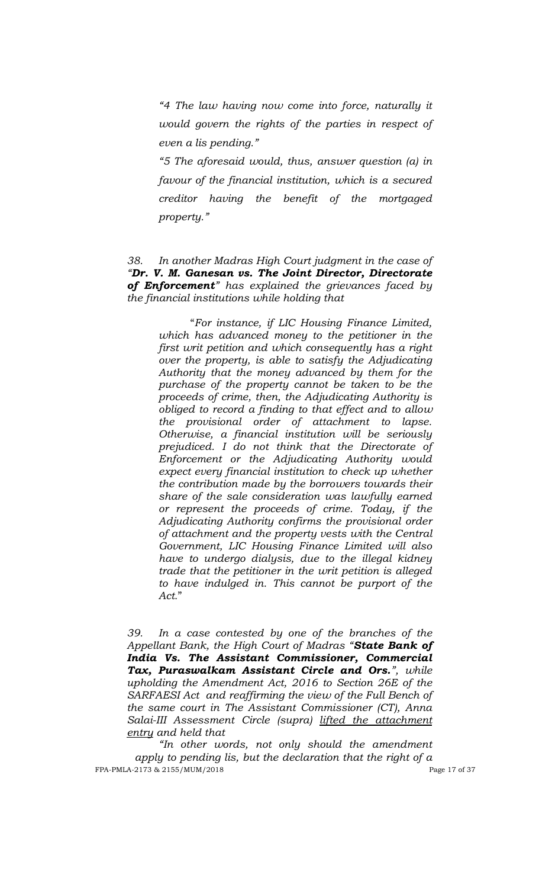*―4 The law having now come into force, naturally it would govern the rights of the parties in respect of even a lis pending.‖*

*―5 The aforesaid would, thus, answer question (a) in favour of the financial institution, which is a secured creditor having the benefit of the mortgaged property.‖*

## *38. In another Madras High Court judgment in the case of ―Dr. V. M. Ganesan vs. The Joint Director, Directorate of Enforcement‖ has explained the grievances faced by the financial institutions while holding that*

"*For instance, if LIC Housing Finance Limited, which has advanced money to the petitioner in the first writ petition and which consequently has a right over the property, is able to satisfy the Adjudicating Authority that the money advanced by them for the purchase of the property cannot be taken to be the proceeds of crime, then, the Adjudicating Authority is obliged to record a finding to that effect and to allow the provisional order of attachment to lapse. Otherwise, a financial institution will be seriously prejudiced. I do not think that the Directorate of Enforcement or the Adjudicating Authority would expect every financial institution to check up whether the contribution made by the borrowers towards their share of the sale consideration was lawfully earned or represent the proceeds of crime. Today, if the Adjudicating Authority confirms the provisional order of attachment and the property vests with the Central Government, LIC Housing Finance Limited will also have to undergo dialysis, due to the illegal kidney trade that the petitioner in the writ petition is alleged to have indulged in. This cannot be purport of the Act.*"

*39. In a case contested by one of the branches of the Appellant Bank, the High Court of Madras ―State Bank of India Vs. The Assistant Commissioner, Commercial Tax, Puraswalkam Assistant Circle and Ors.‖, while upholding the Amendment Act, 2016 to Section 26E of the SARFAESI Act and reaffirming the view of the Full Bench of the same court in The Assistant Commissioner (CT), Anna Salai-III Assessment Circle (supra) lifted the attachment entry and held that* 

FPA-PMLA-2173 & 2155/MUM/2018 Page 17 of 37 *―In other words, not only should the amendment apply to pending lis, but the declaration that the right of a*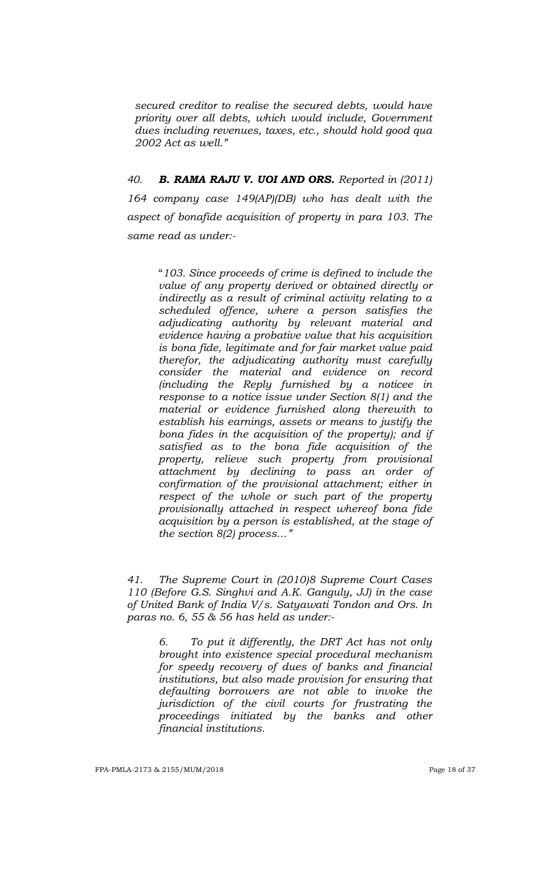*secured creditor to realise the secured debts, would have priority over all debts, which would include, Government dues including revenues, taxes, etc., should hold good qua 2002 Act as well.‖*

*40. B. RAMA RAJU V. UOI AND ORS. Reported in (2011) 164 company case 149(AP)(DB) who has dealt with the aspect of bonafide acquisition of property in para 103. The same read as under:-*

> "*103. Since proceeds of crime is defined to include the value of any property derived or obtained directly or indirectly as a result of criminal activity relating to a scheduled offence, where a person satisfies the adjudicating authority by relevant material and evidence having a probative value that his acquisition is bona fide, legitimate and for fair market value paid therefor, the adjudicating authority must carefully consider the material and evidence on record (including the Reply furnished by a noticee in response to a notice issue under Section 8(1) and the material or evidence furnished along therewith to establish his earnings, assets or means to justify the bona fides in the acquisition of the property); and if satisfied as to the bona fide acquisition of the property, relieve such property from provisional attachment by declining to pass an order of confirmation of the provisional attachment; either in respect of the whole or such part of the property provisionally attached in respect whereof bona fide acquisition by a person is established, at the stage of the section 8(2) process…‖*

*41. The Supreme Court in (2010)8 Supreme Court Cases 110 (Before G.S. Singhvi and A.K. Ganguly, JJ) in the case of United Bank of India V/s. Satyawati Tondon and Ors. In paras no. 6, 55 & 56 has held as under:-*

> *6. To put it differently, the DRT Act has not only brought into existence special procedural mechanism for speedy recovery of dues of banks and financial institutions, but also made provision for ensuring that defaulting borrowers are not able to invoke the jurisdiction of the civil courts for frustrating the proceedings initiated by the banks and other financial institutions.*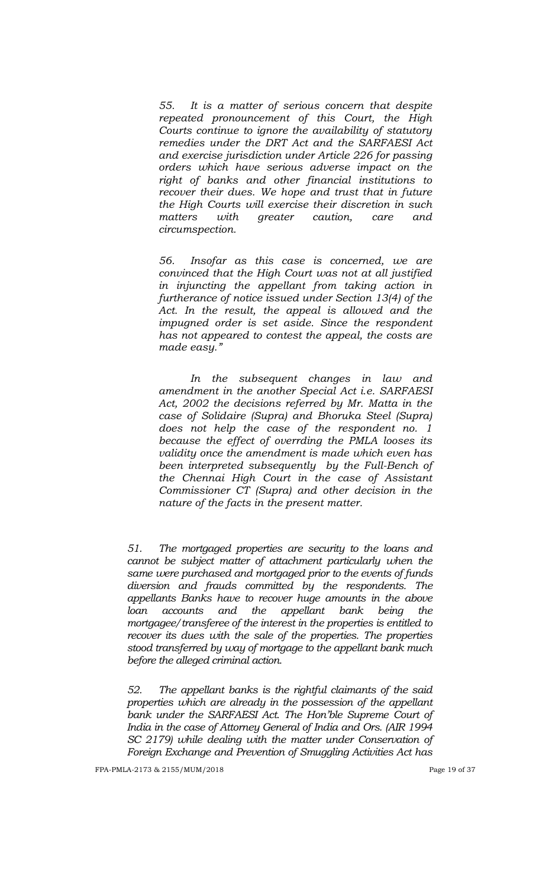*55. It is a matter of serious concern that despite repeated pronouncement of this Court, the High Courts continue to ignore the availability of statutory remedies under the DRT Act and the SARFAESI Act and exercise jurisdiction under Article 226 for passing orders which have serious adverse impact on the right of banks and other financial institutions to recover their dues. We hope and trust that in future the High Courts will exercise their discretion in such matters with greater caution, care and circumspection.*

*56. Insofar as this case is concerned, we are convinced that the High Court was not at all justified in injuncting the appellant from taking action in furtherance of notice issued under Section 13(4) of the Act. In the result, the appeal is allowed and the impugned order is set aside. Since the respondent has not appeared to contest the appeal, the costs are made easy.‖* 

*In the subsequent changes in law and amendment in the another Special Act i.e. SARFAESI Act, 2002 the decisions referred by Mr. Matta in the case of Solidaire (Supra) and Bhoruka Steel (Supra) does not help the case of the respondent no. 1 because the effect of overrding the PMLA looses its validity once the amendment is made which even has been interpreted subsequently by the Full-Bench of the Chennai High Court in the case of Assistant Commissioner CT (Supra) and other decision in the nature of the facts in the present matter.*

*51. The mortgaged properties are security to the loans and cannot be subject matter of attachment particularly when the same were purchased and mortgaged prior to the events of funds diversion and frauds committed by the respondents. The appellants Banks have to recover huge amounts in the above loan accounts and the appellant bank being the mortgagee/transferee of the interest in the properties is entitled to recover its dues with the sale of the properties. The properties stood transferred by way of mortgage to the appellant bank much before the alleged criminal action.* 

*52. The appellant banks is the rightful claimants of the said properties which are already in the possession of the appellant*  bank under the SARFAESI Act. The Hon'ble Supreme Court of *India in the case of Attorney General of India and Ors. (AIR 1994 SC 2179) while dealing with the matter under Conservation of Foreign Exchange and Prevention of Smuggling Activities Act has*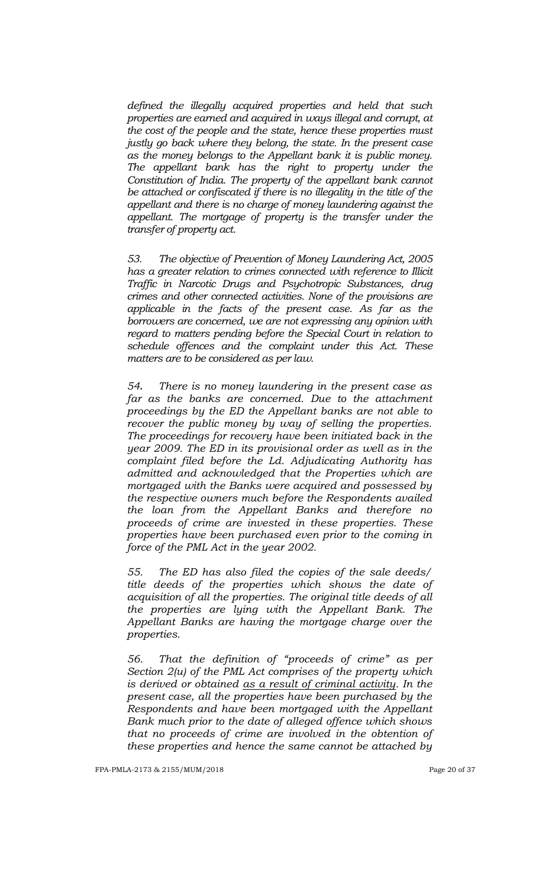*defined the illegally acquired properties and held that such properties are earned and acquired in ways illegal and corrupt, at the cost of the people and the state, hence these properties must justly go back where they belong, the state. In the present case as the money belongs to the Appellant bank it is public money. The appellant bank has the right to property under the Constitution of India. The property of the appellant bank cannot*  be attached or confiscated if there is no illegality in the title of the *appellant and there is no charge of money laundering against the appellant. The mortgage of property is the transfer under the transfer of property act.* 

*53. The objective of Prevention of Money Laundering Act, 2005 has a greater relation to crimes connected with reference to Illicit Traffic in Narcotic Drugs and Psychotropic Substances, drug crimes and other connected activities. None of the provisions are applicable in the facts of the present case. As far as the borrowers are concerned, we are not expressing any opinion with*  regard to matters pending before the Special Court in relation to *schedule offences and the complaint under this Act. These matters are to be considered as per law.* 

*54. There is no money laundering in the present case as far as the banks are concerned. Due to the attachment proceedings by the ED the Appellant banks are not able to recover the public money by way of selling the properties. The proceedings for recovery have been initiated back in the year 2009. The ED in its provisional order as well as in the complaint filed before the Ld. Adjudicating Authority has admitted and acknowledged that the Properties which are mortgaged with the Banks were acquired and possessed by the respective owners much before the Respondents availed the loan from the Appellant Banks and therefore no proceeds of crime are invested in these properties. These properties have been purchased even prior to the coming in force of the PML Act in the year 2002.*

*55. The ED has also filed the copies of the sale deeds/ title deeds of the properties which shows the date of acquisition of all the properties. The original title deeds of all the properties are lying with the Appellant Bank. The Appellant Banks are having the mortgage charge over the properties.*

*56. That the definition of "proceeds of crime" as per Section 2(u) of the PML Act comprises of the property which is derived or obtained as a result of criminal activity. In the present case, all the properties have been purchased by the Respondents and have been mortgaged with the Appellant Bank much prior to the date of alleged offence which shows that no proceeds of crime are involved in the obtention of these properties and hence the same cannot be attached by*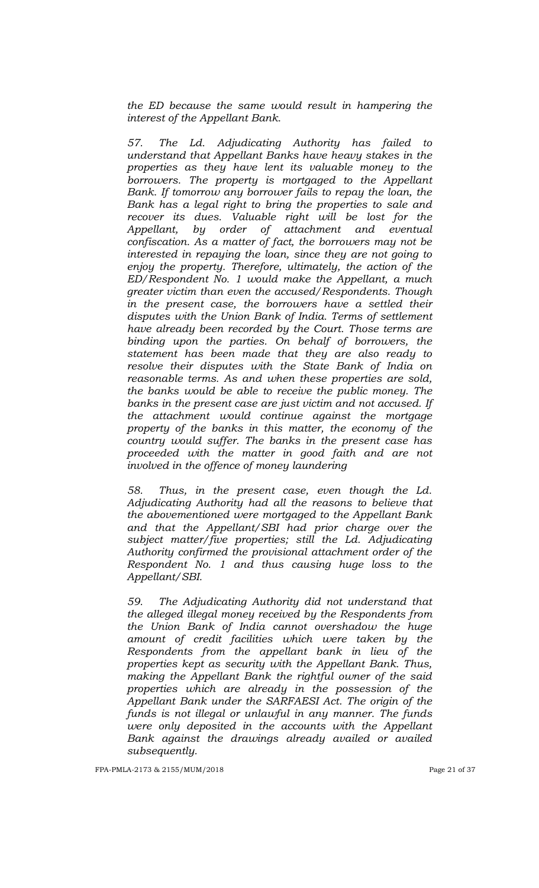*the ED because the same would result in hampering the interest of the Appellant Bank.*

*57. The Ld. Adjudicating Authority has failed to understand that Appellant Banks have heavy stakes in the properties as they have lent its valuable money to the borrowers. The property is mortgaged to the Appellant Bank. If tomorrow any borrower fails to repay the loan, the Bank has a legal right to bring the properties to sale and recover its dues. Valuable right will be lost for the Appellant, by order of attachment and eventual confiscation. As a matter of fact, the borrowers may not be interested in repaying the loan, since they are not going to enjoy the property. Therefore, ultimately, the action of the ED/Respondent No. 1 would make the Appellant, a much greater victim than even the accused/Respondents. Though in the present case, the borrowers have a settled their disputes with the Union Bank of India. Terms of settlement have already been recorded by the Court. Those terms are binding upon the parties. On behalf of borrowers, the statement has been made that they are also ready to resolve their disputes with the State Bank of India on reasonable terms. As and when these properties are sold, the banks would be able to receive the public money. The banks in the present case are just victim and not accused. If the attachment would continue against the mortgage property of the banks in this matter, the economy of the country would suffer. The banks in the present case has proceeded with the matter in good faith and are not involved in the offence of money laundering*

*58. Thus, in the present case, even though the Ld. Adjudicating Authority had all the reasons to believe that the abovementioned were mortgaged to the Appellant Bank and that the Appellant/SBI had prior charge over the subject matter/five properties; still the Ld. Adjudicating Authority confirmed the provisional attachment order of the Respondent No. 1 and thus causing huge loss to the Appellant/SBI.*

*59. The Adjudicating Authority did not understand that the alleged illegal money received by the Respondents from the Union Bank of India cannot overshadow the huge amount of credit facilities which were taken by the Respondents from the appellant bank in lieu of the properties kept as security with the Appellant Bank. Thus, making the Appellant Bank the rightful owner of the said properties which are already in the possession of the Appellant Bank under the SARFAESI Act. The origin of the funds is not illegal or unlawful in any manner. The funds were only deposited in the accounts with the Appellant Bank against the drawings already availed or availed subsequently.*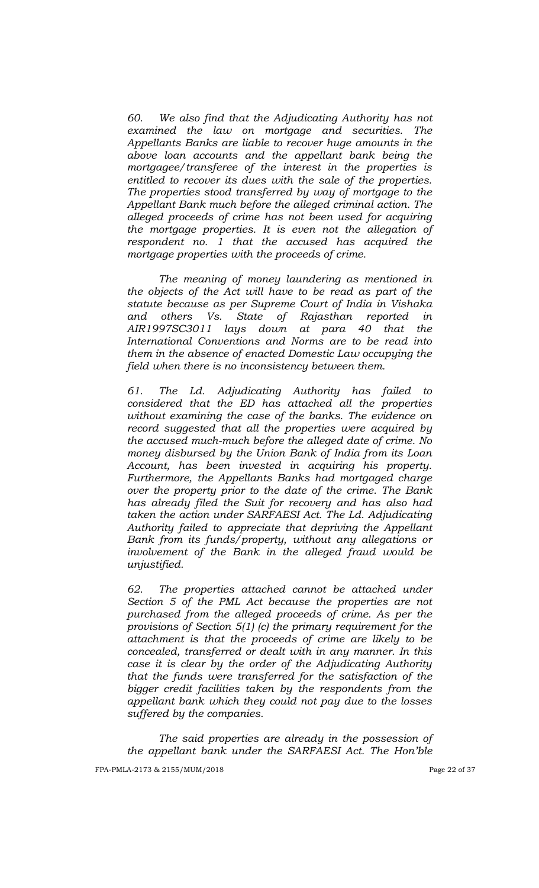*60. We also find that the Adjudicating Authority has not examined the law on mortgage and securities. The Appellants Banks are liable to recover huge amounts in the above loan accounts and the appellant bank being the mortgagee/transferee of the interest in the properties is entitled to recover its dues with the sale of the properties. The properties stood transferred by way of mortgage to the Appellant Bank much before the alleged criminal action. The alleged proceeds of crime has not been used for acquiring the mortgage properties. It is even not the allegation of respondent no. 1 that the accused has acquired the mortgage properties with the proceeds of crime.* 

*The meaning of money laundering as mentioned in the objects of the Act will have to be read as part of the statute because as per Supreme Court of India in Vishaka and others Vs. State of Rajasthan reported in AIR1997SC3011 lays down at para 40 that the International Conventions and Norms are to be read into them in the absence of enacted Domestic Law occupying the field when there is no inconsistency between them.* 

*61. The Ld. Adjudicating Authority has failed to considered that the ED has attached all the properties without examining the case of the banks. The evidence on record suggested that all the properties were acquired by the accused much-much before the alleged date of crime. No money disbursed by the Union Bank of India from its Loan Account, has been invested in acquiring his property. Furthermore, the Appellants Banks had mortgaged charge over the property prior to the date of the crime. The Bank has already filed the Suit for recovery and has also had taken the action under SARFAESI Act. The Ld. Adjudicating Authority failed to appreciate that depriving the Appellant Bank from its funds/property, without any allegations or involvement of the Bank in the alleged fraud would be unjustified.* 

*62. The properties attached cannot be attached under Section 5 of the PML Act because the properties are not purchased from the alleged proceeds of crime. As per the provisions of Section 5(1) (c) the primary requirement for the attachment is that the proceeds of crime are likely to be concealed, transferred or dealt with in any manner. In this case it is clear by the order of the Adjudicating Authority that the funds were transferred for the satisfaction of the bigger credit facilities taken by the respondents from the appellant bank which they could not pay due to the losses suffered by the companies.*

*The said properties are already in the possession of the appellant bank under the SARFAESI Act. The Hon'ble*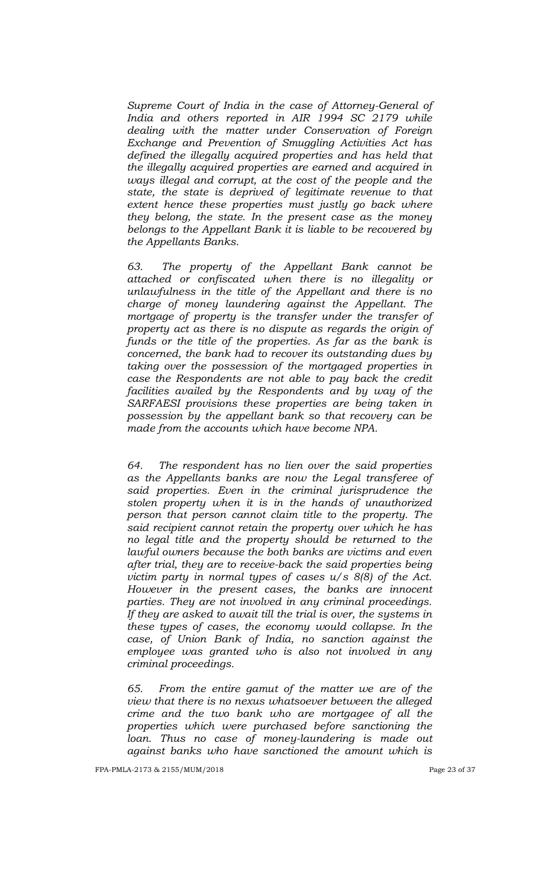*Supreme Court of India in the case of Attorney-General of India and others reported in AIR 1994 SC 2179 while dealing with the matter under Conservation of Foreign Exchange and Prevention of Smuggling Activities Act has defined the illegally acquired properties and has held that the illegally acquired properties are earned and acquired in ways illegal and corrupt, at the cost of the people and the state, the state is deprived of legitimate revenue to that extent hence these properties must justly go back where they belong, the state. In the present case as the money belongs to the Appellant Bank it is liable to be recovered by the Appellants Banks.*

*63. The property of the Appellant Bank cannot be attached or confiscated when there is no illegality or unlawfulness in the title of the Appellant and there is no charge of money laundering against the Appellant. The mortgage of property is the transfer under the transfer of property act as there is no dispute as regards the origin of funds or the title of the properties. As far as the bank is concerned, the bank had to recover its outstanding dues by taking over the possession of the mortgaged properties in case the Respondents are not able to pay back the credit facilities availed by the Respondents and by way of the SARFAESI provisions these properties are being taken in possession by the appellant bank so that recovery can be made from the accounts which have become NPA.* 

*64. The respondent has no lien over the said properties as the Appellants banks are now the Legal transferee of said properties. Even in the criminal jurisprudence the stolen property when it is in the hands of unauthorized person that person cannot claim title to the property. The said recipient cannot retain the property over which he has no legal title and the property should be returned to the lawful owners because the both banks are victims and even after trial, they are to receive-back the said properties being victim party in normal types of cases u/s 8(8) of the Act. However in the present cases, the banks are innocent parties. They are not involved in any criminal proceedings. If they are asked to await till the trial is over, the systems in these types of cases, the economy would collapse. In the case, of Union Bank of India, no sanction against the employee was granted who is also not involved in any criminal proceedings.* 

*65. From the entire gamut of the matter we are of the view that there is no nexus whatsoever between the alleged crime and the two bank who are mortgagee of all the properties which were purchased before sanctioning the loan. Thus no case of money-laundering is made out against banks who have sanctioned the amount which is*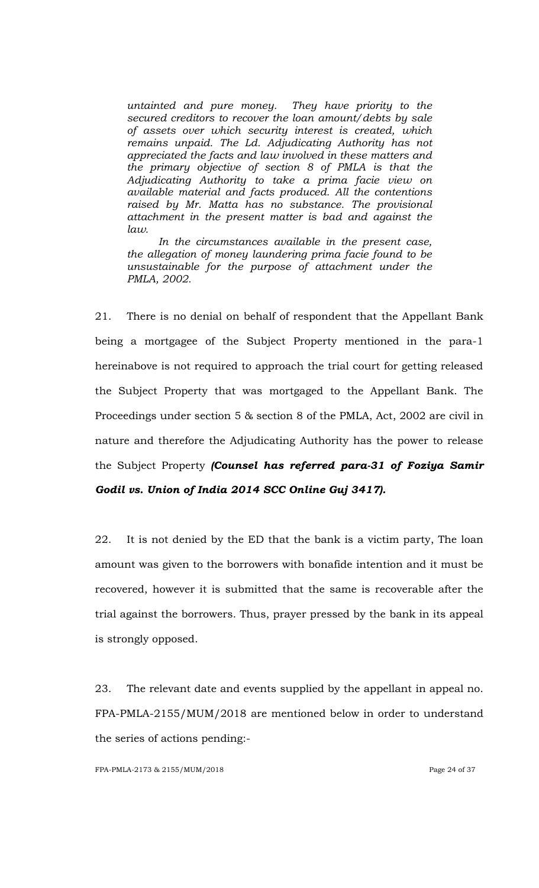*untainted and pure money. They have priority to the secured creditors to recover the loan amount/debts by sale of assets over which security interest is created, which remains unpaid. The Ld. Adjudicating Authority has not appreciated the facts and law involved in these matters and the primary objective of section 8 of PMLA is that the Adjudicating Authority to take a prima facie view on available material and facts produced. All the contentions raised by Mr. Matta has no substance. The provisional attachment in the present matter is bad and against the law.* 

*In the circumstances available in the present case, the allegation of money laundering prima facie found to be unsustainable for the purpose of attachment under the PMLA, 2002.* 

21. There is no denial on behalf of respondent that the Appellant Bank being a mortgagee of the Subject Property mentioned in the para-1 hereinabove is not required to approach the trial court for getting released the Subject Property that was mortgaged to the Appellant Bank. The Proceedings under section 5 & section 8 of the PMLA, Act, 2002 are civil in nature and therefore the Adjudicating Authority has the power to release the Subject Property *(Counsel has referred para-31 of Foziya Samir Godil vs. Union of India 2014 SCC Online Guj 3417).*

22. It is not denied by the ED that the bank is a victim party, The loan amount was given to the borrowers with bonafide intention and it must be recovered, however it is submitted that the same is recoverable after the trial against the borrowers. Thus, prayer pressed by the bank in its appeal is strongly opposed.

23. The relevant date and events supplied by the appellant in appeal no. FPA-PMLA-2155/MUM/2018 are mentioned below in order to understand the series of actions pending:-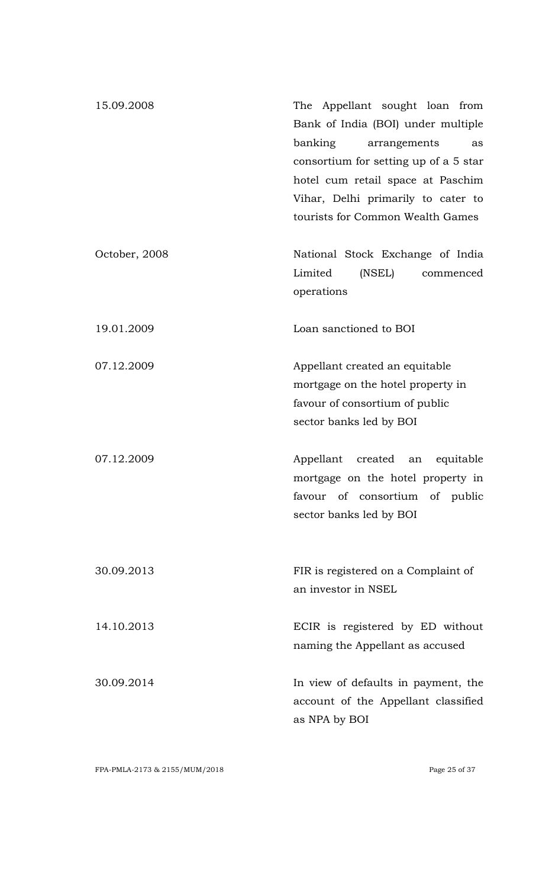| 15.09.2008    | The Appellant sought loan from<br>Bank of India (BOI) under multiple<br>banking<br>arrangements<br>as<br>consortium for setting up of a 5 star<br>hotel cum retail space at Paschim<br>Vihar, Delhi primarily to cater to<br>tourists for Common Wealth Games |
|---------------|---------------------------------------------------------------------------------------------------------------------------------------------------------------------------------------------------------------------------------------------------------------|
| October, 2008 | National Stock Exchange of India<br>Limited<br>(NSEL)<br>commenced<br>operations                                                                                                                                                                              |
| 19.01.2009    | Loan sanctioned to BOI                                                                                                                                                                                                                                        |
| 07.12.2009    | Appellant created an equitable<br>mortgage on the hotel property in<br>favour of consortium of public<br>sector banks led by BOI                                                                                                                              |
| 07.12.2009    | Appellant created an equitable<br>mortgage on the hotel property in<br>favour of consortium of public<br>sector banks led by BOI                                                                                                                              |
| 30.09.2013    | FIR is registered on a Complaint of<br>an investor in NSEL                                                                                                                                                                                                    |
| 14.10.2013    | ECIR is registered by ED without<br>naming the Appellant as accused                                                                                                                                                                                           |
| 30.09.2014    | In view of defaults in payment, the<br>account of the Appellant classified<br>as NPA by BOI                                                                                                                                                                   |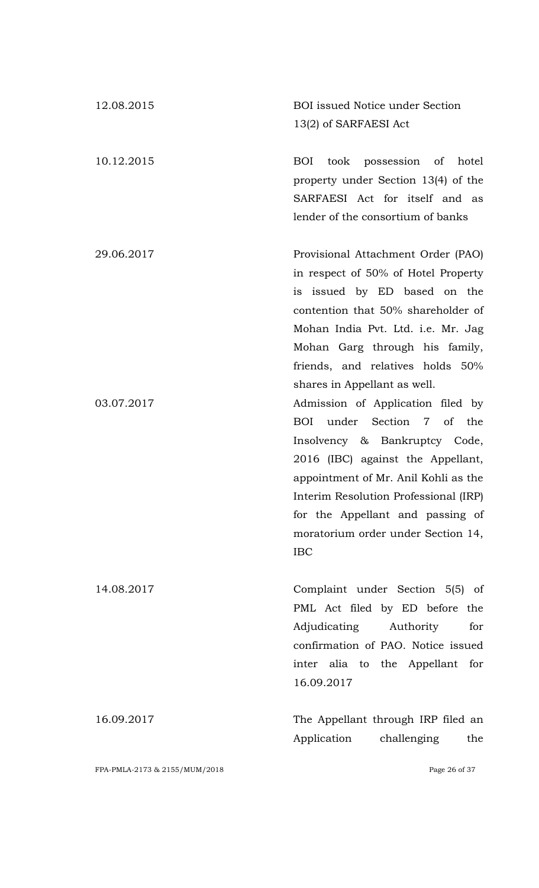| 12.08.2015 | <b>BOI</b> issued Notice under Section                                                                                                                                                                                                                                                                                                                                                       |
|------------|----------------------------------------------------------------------------------------------------------------------------------------------------------------------------------------------------------------------------------------------------------------------------------------------------------------------------------------------------------------------------------------------|
|            | 13(2) of SARFAESI Act                                                                                                                                                                                                                                                                                                                                                                        |
| 10.12.2015 | <b>BOI</b><br>took possession of hotel<br>property under Section 13(4) of the<br>SARFAESI Act for itself and as<br>lender of the consortium of banks                                                                                                                                                                                                                                         |
| 29.06.2017 | Provisional Attachment Order (PAO)<br>in respect of 50% of Hotel Property<br>is issued by ED based on the<br>contention that 50% shareholder of<br>Mohan India Pvt. Ltd. i.e. Mr. Jag<br>Mohan Garg through his family,                                                                                                                                                                      |
| 03.07.2017 | friends, and relatives holds 50%<br>shares in Appellant as well.<br>Admission of Application filed by<br>under Section 7 of the<br><b>BOI</b><br>Insolvency & Bankruptcy Code,<br>2016 (IBC) against the Appellant,<br>appointment of Mr. Anil Kohli as the<br>Interim Resolution Professional (IRP)<br>for the Appellant and passing of<br>moratorium order under Section 14,<br><b>IBC</b> |
| 14.08.2017 | Complaint under Section 5(5) of<br>PML Act filed by ED before the<br>Adjudicating<br>Authority<br>for<br>confirmation of PAO. Notice issued<br>inter alia to the Appellant for<br>16.09.2017                                                                                                                                                                                                 |
| 16.09.2017 | The Appellant through IRP filed an<br>Application<br>challenging<br>the                                                                                                                                                                                                                                                                                                                      |

FPA-PMLA-2173 & 2155/MUM/2018 Page 26 of 37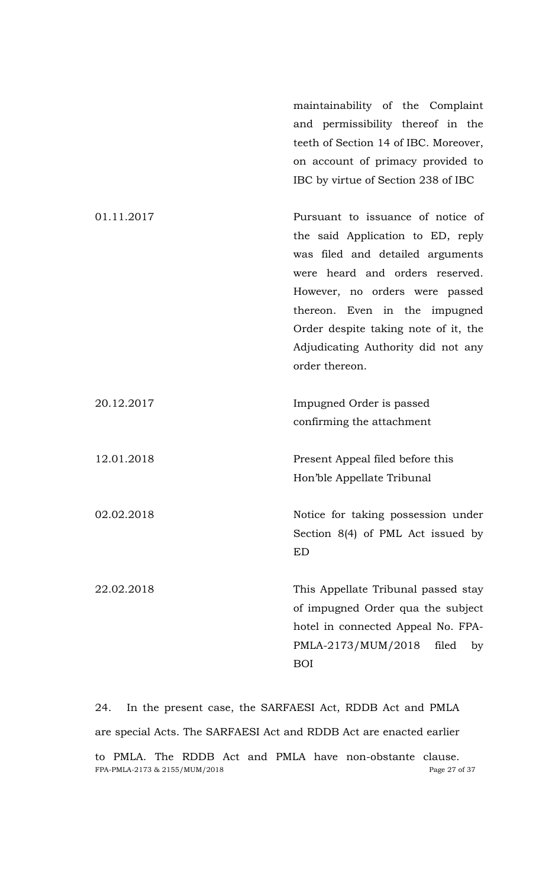maintainability of the Complaint and permissibility thereof in the teeth of Section 14 of IBC. Moreover, on account of primacy provided to IBC by virtue of Section 238 of IBC

| 01.11.2017 | Pursuant to issuance of notice of    |
|------------|--------------------------------------|
|            | the said Application to ED, reply    |
|            | was filed and detailed arguments     |
|            | were heard and orders reserved.      |
|            | However, no orders were passed       |
|            | thereon. Even in the impugned        |
|            | Order despite taking note of it, the |
|            | Adjudicating Authority did not any   |
|            | order thereon.                       |
|            |                                      |
| 20.12.2017 | Impugned Order is passed             |
|            | confirming the attachment            |
|            |                                      |
| 12.01.2018 | Present Appeal filed before this     |
|            | Hon'ble Appellate Tribunal           |
|            |                                      |
| 02.02.2018 | Notice for taking possession under   |
|            | Section 8(4) of PML Act issued by    |
|            | <b>ED</b>                            |
|            |                                      |
| 22.02.2018 | This Appellate Tribunal passed stay  |
|            | of impugned Order qua the subject    |
|            | hotel in connected Appeal No. FPA-   |
|            | PMLA-2173/MUM/2018<br>filed<br>by    |
|            | <b>BOI</b>                           |

FPA-PMLA-2173 & 2155/MUM/2018 Page 27 of 37 24. In the present case, the SARFAESI Act, RDDB Act and PMLA are special Acts. The SARFAESI Act and RDDB Act are enacted earlier to PMLA. The RDDB Act and PMLA have non-obstante clause.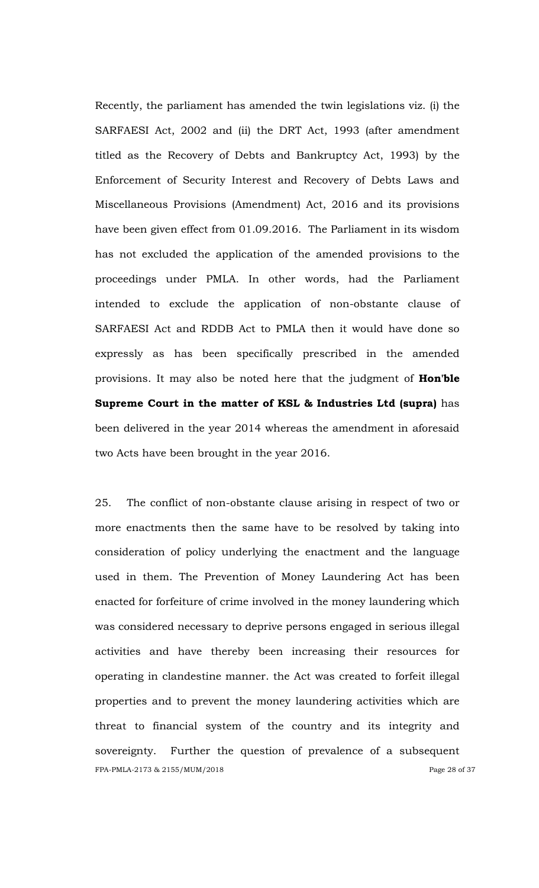Recently, the parliament has amended the twin legislations viz. (i) the SARFAESI Act, 2002 and (ii) the DRT Act, 1993 (after amendment titled as the Recovery of Debts and Bankruptcy Act, 1993) by the Enforcement of Security Interest and Recovery of Debts Laws and Miscellaneous Provisions (Amendment) Act, 2016 and its provisions have been given effect from 01.09.2016. The Parliament in its wisdom has not excluded the application of the amended provisions to the proceedings under PMLA. In other words, had the Parliament intended to exclude the application of non-obstante clause of SARFAESI Act and RDDB Act to PMLA then it would have done so expressly as has been specifically prescribed in the amended provisions. It may also be noted here that the judgment of **Hon'ble Supreme Court in the matter of KSL & Industries Ltd (supra)** has been delivered in the year 2014 whereas the amendment in aforesaid two Acts have been brought in the year 2016.

FPA-PMLA-2173 & 2155/MUM/2018 Page 28 of 37 25. The conflict of non-obstante clause arising in respect of two or more enactments then the same have to be resolved by taking into consideration of policy underlying the enactment and the language used in them. The Prevention of Money Laundering Act has been enacted for forfeiture of crime involved in the money laundering which was considered necessary to deprive persons engaged in serious illegal activities and have thereby been increasing their resources for operating in clandestine manner. the Act was created to forfeit illegal properties and to prevent the money laundering activities which are threat to financial system of the country and its integrity and sovereignty. Further the question of prevalence of a subsequent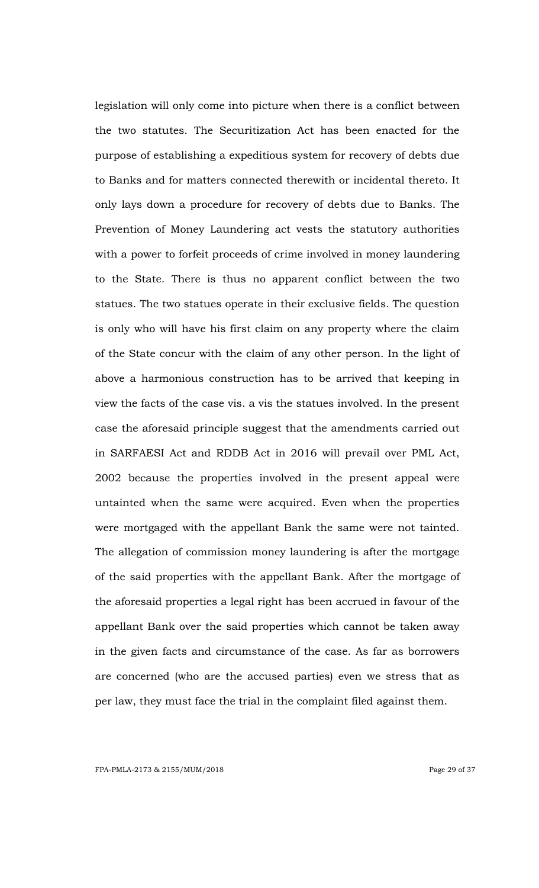legislation will only come into picture when there is a conflict between the two statutes. The Securitization Act has been enacted for the purpose of establishing a expeditious system for recovery of debts due to Banks and for matters connected therewith or incidental thereto. It only lays down a procedure for recovery of debts due to Banks. The Prevention of Money Laundering act vests the statutory authorities with a power to forfeit proceeds of crime involved in money laundering to the State. There is thus no apparent conflict between the two statues. The two statues operate in their exclusive fields. The question is only who will have his first claim on any property where the claim of the State concur with the claim of any other person. In the light of above a harmonious construction has to be arrived that keeping in view the facts of the case vis. a vis the statues involved. In the present case the aforesaid principle suggest that the amendments carried out in SARFAESI Act and RDDB Act in 2016 will prevail over PML Act, 2002 because the properties involved in the present appeal were untainted when the same were acquired. Even when the properties were mortgaged with the appellant Bank the same were not tainted. The allegation of commission money laundering is after the mortgage of the said properties with the appellant Bank. After the mortgage of the aforesaid properties a legal right has been accrued in favour of the appellant Bank over the said properties which cannot be taken away in the given facts and circumstance of the case. As far as borrowers are concerned (who are the accused parties) even we stress that as per law, they must face the trial in the complaint filed against them.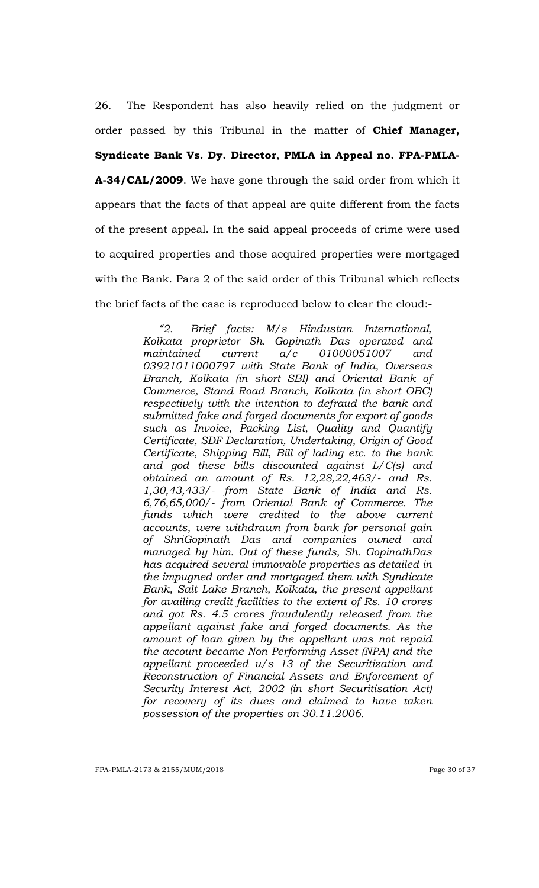26. The Respondent has also heavily relied on the judgment or order passed by this Tribunal in the matter of **Chief Manager, Syndicate Bank Vs. Dy. Director**, **PMLA in Appeal no. FPA-PMLA-A-34/CAL/2009**. We have gone through the said order from which it appears that the facts of that appeal are quite different from the facts of the present appeal. In the said appeal proceeds of crime were used to acquired properties and those acquired properties were mortgaged with the Bank. Para 2 of the said order of this Tribunal which reflects the brief facts of the case is reproduced below to clear the cloud:-

> *―2. Brief facts: M/s Hindustan International, Kolkata proprietor Sh. Gopinath Das operated and maintained current a/c 01000051007 and 03921011000797 with State Bank of India, Overseas Branch, Kolkata (in short SBI) and Oriental Bank of Commerce, Stand Road Branch, Kolkata (in short OBC) respectively with the intention to defraud the bank and submitted fake and forged documents for export of goods such as Invoice, Packing List, Quality and Quantify Certificate, SDF Declaration, Undertaking, Origin of Good Certificate, Shipping Bill, Bill of lading etc. to the bank and god these bills discounted against L/C(s) and obtained an amount of Rs. 12,28,22,463/- and Rs. 1,30,43,433/- from State Bank of India and Rs. 6,76,65,000/- from Oriental Bank of Commerce. The funds which were credited to the above current accounts, were withdrawn from bank for personal gain of ShriGopinath Das and companies owned and managed by him. Out of these funds, Sh. GopinathDas has acquired several immovable properties as detailed in the impugned order and mortgaged them with Syndicate Bank, Salt Lake Branch, Kolkata, the present appellant for availing credit facilities to the extent of Rs. 10 crores and got Rs. 4.5 crores fraudulently released from the appellant against fake and forged documents. As the amount of loan given by the appellant was not repaid the account became Non Performing Asset (NPA) and the appellant proceeded u/s 13 of the Securitization and Reconstruction of Financial Assets and Enforcement of Security Interest Act, 2002 (in short Securitisation Act) for recovery of its dues and claimed to have taken possession of the properties on 30.11.2006.*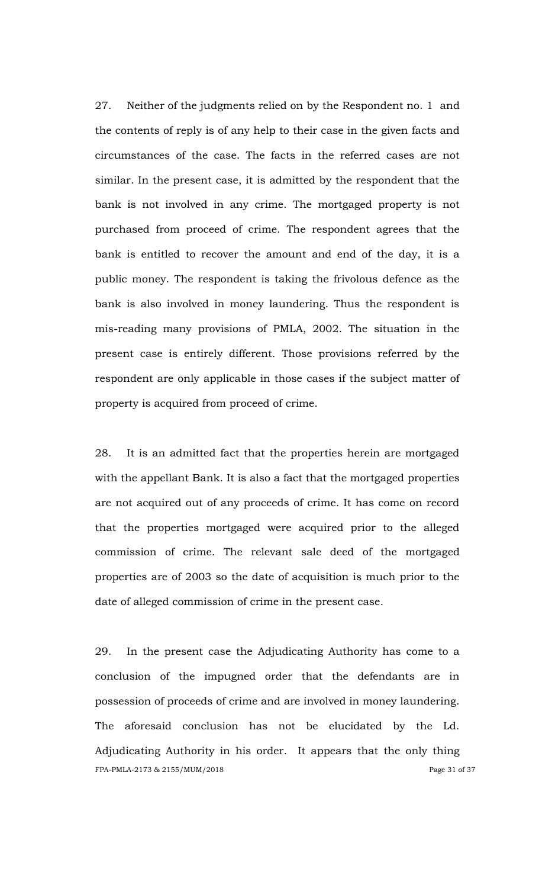27. Neither of the judgments relied on by the Respondent no. 1 and the contents of reply is of any help to their case in the given facts and circumstances of the case. The facts in the referred cases are not similar. In the present case, it is admitted by the respondent that the bank is not involved in any crime. The mortgaged property is not purchased from proceed of crime. The respondent agrees that the bank is entitled to recover the amount and end of the day, it is a public money. The respondent is taking the frivolous defence as the bank is also involved in money laundering. Thus the respondent is mis-reading many provisions of PMLA, 2002. The situation in the present case is entirely different. Those provisions referred by the respondent are only applicable in those cases if the subject matter of property is acquired from proceed of crime.

28. It is an admitted fact that the properties herein are mortgaged with the appellant Bank. It is also a fact that the mortgaged properties are not acquired out of any proceeds of crime. It has come on record that the properties mortgaged were acquired prior to the alleged commission of crime. The relevant sale deed of the mortgaged properties are of 2003 so the date of acquisition is much prior to the date of alleged commission of crime in the present case.

FPA-PMLA-2173 & 2155/MUM/2018 Page 31 of 37 29. In the present case the Adjudicating Authority has come to a conclusion of the impugned order that the defendants are in possession of proceeds of crime and are involved in money laundering. The aforesaid conclusion has not be elucidated by the Ld. Adjudicating Authority in his order. It appears that the only thing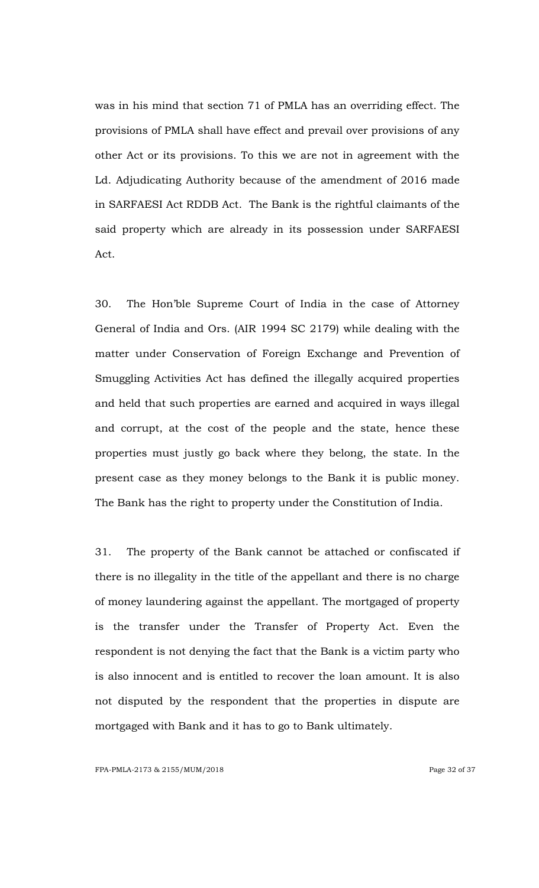was in his mind that section 71 of PMLA has an overriding effect. The provisions of PMLA shall have effect and prevail over provisions of any other Act or its provisions. To this we are not in agreement with the Ld. Adjudicating Authority because of the amendment of 2016 made in SARFAESI Act RDDB Act. The Bank is the rightful claimants of the said property which are already in its possession under SARFAESI Act.

30. The Hon"ble Supreme Court of India in the case of Attorney General of India and Ors. (AIR 1994 SC 2179) while dealing with the matter under Conservation of Foreign Exchange and Prevention of Smuggling Activities Act has defined the illegally acquired properties and held that such properties are earned and acquired in ways illegal and corrupt, at the cost of the people and the state, hence these properties must justly go back where they belong, the state. In the present case as they money belongs to the Bank it is public money. The Bank has the right to property under the Constitution of India.

31. The property of the Bank cannot be attached or confiscated if there is no illegality in the title of the appellant and there is no charge of money laundering against the appellant. The mortgaged of property is the transfer under the Transfer of Property Act. Even the respondent is not denying the fact that the Bank is a victim party who is also innocent and is entitled to recover the loan amount. It is also not disputed by the respondent that the properties in dispute are mortgaged with Bank and it has to go to Bank ultimately.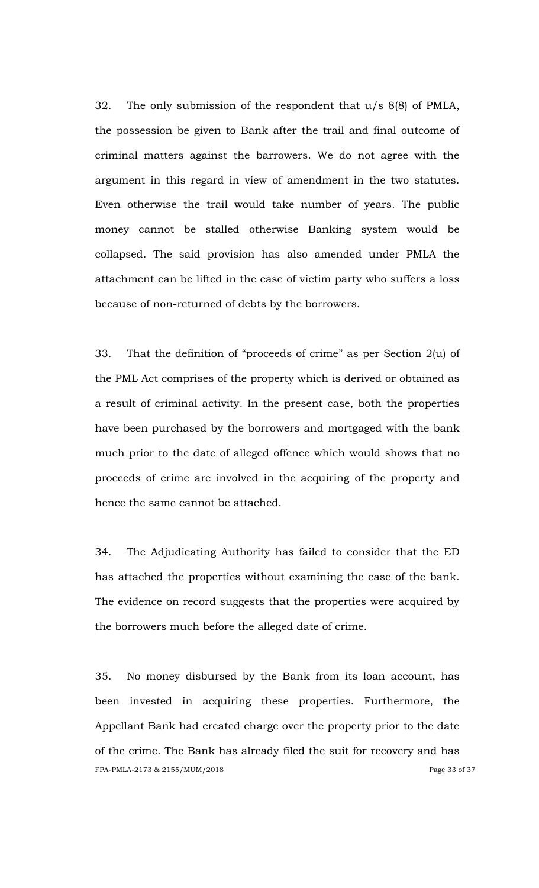32. The only submission of the respondent that u/s 8(8) of PMLA, the possession be given to Bank after the trail and final outcome of criminal matters against the barrowers. We do not agree with the argument in this regard in view of amendment in the two statutes. Even otherwise the trail would take number of years. The public money cannot be stalled otherwise Banking system would be collapsed. The said provision has also amended under PMLA the attachment can be lifted in the case of victim party who suffers a loss because of non-returned of debts by the borrowers.

33. That the definition of "proceeds of crime" as per Section 2(u) of the PML Act comprises of the property which is derived or obtained as a result of criminal activity. In the present case, both the properties have been purchased by the borrowers and mortgaged with the bank much prior to the date of alleged offence which would shows that no proceeds of crime are involved in the acquiring of the property and hence the same cannot be attached.

34. The Adjudicating Authority has failed to consider that the ED has attached the properties without examining the case of the bank. The evidence on record suggests that the properties were acquired by the borrowers much before the alleged date of crime.

FPA-PMLA-2173 & 2155/MUM/2018 Page 33 of 37 35. No money disbursed by the Bank from its loan account, has been invested in acquiring these properties. Furthermore, the Appellant Bank had created charge over the property prior to the date of the crime. The Bank has already filed the suit for recovery and has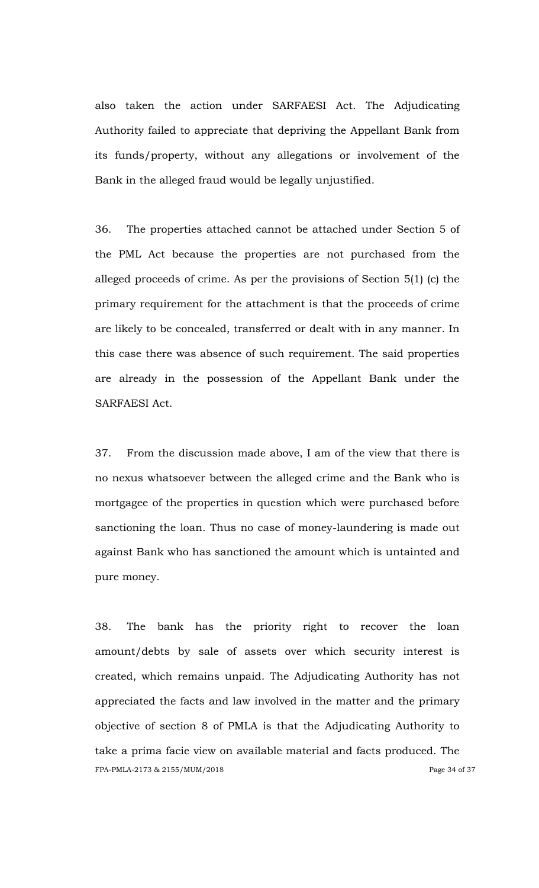also taken the action under SARFAESI Act. The Adjudicating Authority failed to appreciate that depriving the Appellant Bank from its funds/property, without any allegations or involvement of the Bank in the alleged fraud would be legally unjustified.

36. The properties attached cannot be attached under Section 5 of the PML Act because the properties are not purchased from the alleged proceeds of crime. As per the provisions of Section 5(1) (c) the primary requirement for the attachment is that the proceeds of crime are likely to be concealed, transferred or dealt with in any manner. In this case there was absence of such requirement. The said properties are already in the possession of the Appellant Bank under the SARFAESI Act.

37. From the discussion made above, I am of the view that there is no nexus whatsoever between the alleged crime and the Bank who is mortgagee of the properties in question which were purchased before sanctioning the loan. Thus no case of money-laundering is made out against Bank who has sanctioned the amount which is untainted and pure money.

FPA-PMLA-2173 & 2155/MUM/2018 Page 34 of 37 38. The bank has the priority right to recover the loan amount/debts by sale of assets over which security interest is created, which remains unpaid. The Adjudicating Authority has not appreciated the facts and law involved in the matter and the primary objective of section 8 of PMLA is that the Adjudicating Authority to take a prima facie view on available material and facts produced. The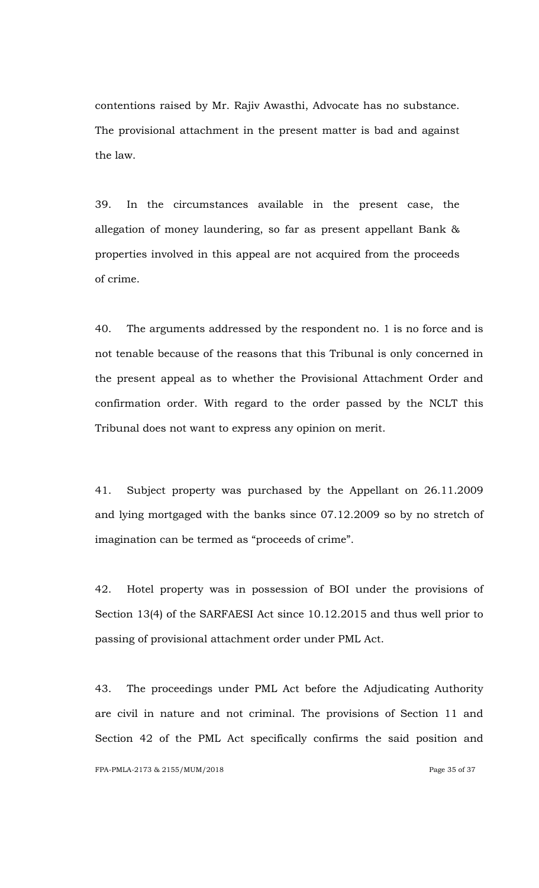contentions raised by Mr. Rajiv Awasthi, Advocate has no substance. The provisional attachment in the present matter is bad and against the law.

39. In the circumstances available in the present case, the allegation of money laundering, so far as present appellant Bank & properties involved in this appeal are not acquired from the proceeds of crime.

40. The arguments addressed by the respondent no. 1 is no force and is not tenable because of the reasons that this Tribunal is only concerned in the present appeal as to whether the Provisional Attachment Order and confirmation order. With regard to the order passed by the NCLT this Tribunal does not want to express any opinion on merit.

41. Subject property was purchased by the Appellant on 26.11.2009 and lying mortgaged with the banks since 07.12.2009 so by no stretch of imagination can be termed as "proceeds of crime".

42. Hotel property was in possession of BOI under the provisions of Section 13(4) of the SARFAESI Act since 10.12.2015 and thus well prior to passing of provisional attachment order under PML Act.

43. The proceedings under PML Act before the Adjudicating Authority are civil in nature and not criminal. The provisions of Section 11 and Section 42 of the PML Act specifically confirms the said position and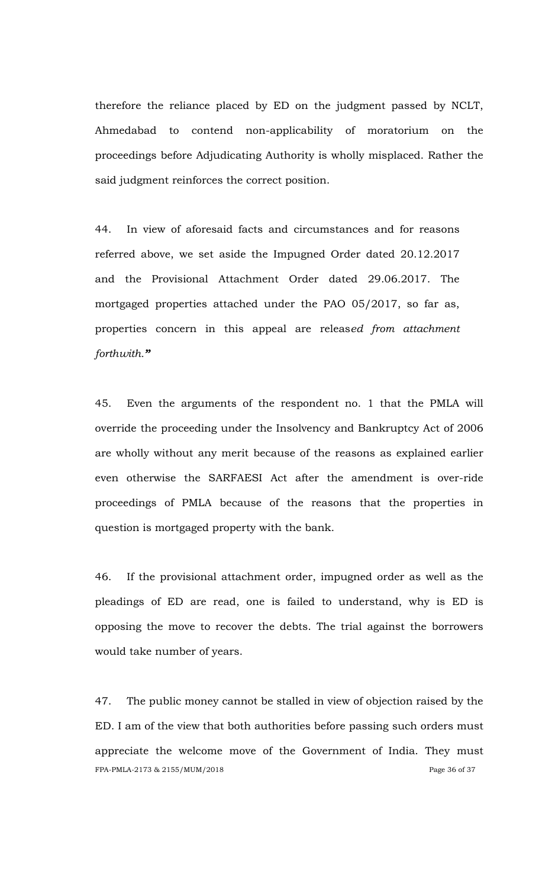therefore the reliance placed by ED on the judgment passed by NCLT, Ahmedabad to contend non-applicability of moratorium on the proceedings before Adjudicating Authority is wholly misplaced. Rather the said judgment reinforces the correct position.

44. In view of aforesaid facts and circumstances and for reasons referred above, we set aside the Impugned Order dated 20.12.2017 and the Provisional Attachment Order dated 29.06.2017. The mortgaged properties attached under the PAO 05/2017, so far as, properties concern in this appeal are releas*ed from attachment forthwith."*

45. Even the arguments of the respondent no. 1 that the PMLA will override the proceeding under the Insolvency and Bankruptcy Act of 2006 are wholly without any merit because of the reasons as explained earlier even otherwise the SARFAESI Act after the amendment is over-ride proceedings of PMLA because of the reasons that the properties in question is mortgaged property with the bank.

46. If the provisional attachment order, impugned order as well as the pleadings of ED are read, one is failed to understand, why is ED is opposing the move to recover the debts. The trial against the borrowers would take number of years.

FPA-PMLA-2173 & 2155/MUM/2018 Page 36 of 37 47. The public money cannot be stalled in view of objection raised by the ED. I am of the view that both authorities before passing such orders must appreciate the welcome move of the Government of India. They must